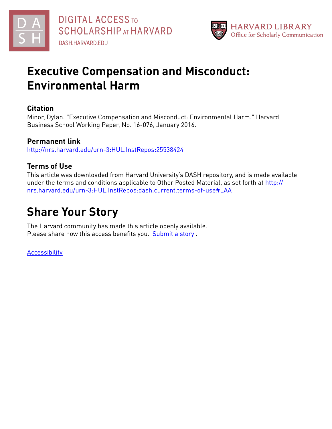



# **Executive Compensation and Misconduct: Environmental Harm**

## **Citation**

Minor, Dylan. "Executive Compensation and Misconduct: Environmental Harm." Harvard Business School Working Paper, No. 16-076, January 2016.

## **Permanent link**

<http://nrs.harvard.edu/urn-3:HUL.InstRepos:25538424>

## **Terms of Use**

This article was downloaded from Harvard University's DASH repository, and is made available under the terms and conditions applicable to Other Posted Material, as set forth at [http://](http://nrs.harvard.edu/urn-3:HUL.InstRepos:dash.current.terms-of-use#LAA) [nrs.harvard.edu/urn-3:HUL.InstRepos:dash.current.terms-of-use#LAA](http://nrs.harvard.edu/urn-3:HUL.InstRepos:dash.current.terms-of-use#LAA)

# **Share Your Story**

The Harvard community has made this article openly available. Please share how this access benefits you. [Submit](http://osc.hul.harvard.edu/dash/open-access-feedback?handle=&title=Executive%20Compensation%20and%20Misconduct:%20Environmental%20Harm&community=1/3345929&collection=1/3345930&owningCollection1/3345930&harvardAuthors=70387b66a1ffe666931e26ef306b40cd&department) a story.

[Accessibility](https://dash.harvard.edu/pages/accessibility)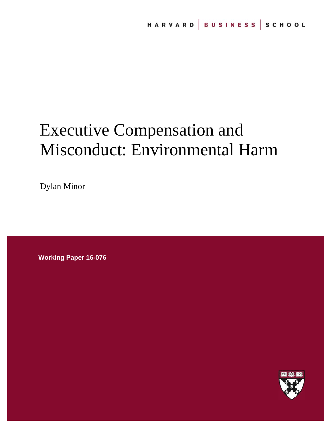# Executive Compensation and Misconduct: Environmental Harm

Dylan Minor

**Working Paper 16-076**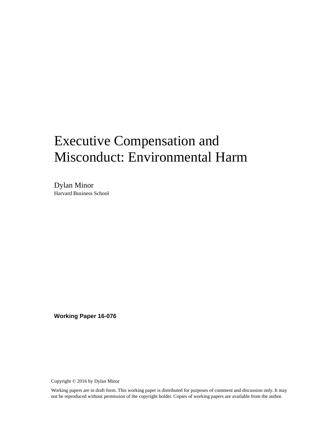# Executive Compensation and Misconduct: Environmental Harm

Dylan Minor Harvard Business School

**Working Paper 16-076** 

Copyright © 2016 by Dylan Minor

Working papers are in draft form. This working paper is distributed for purposes of comment and discussion only. It may not be reproduced without permission of the copyright holder. Copies of working papers are available from the author.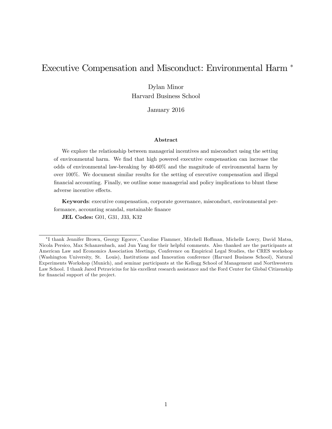# Executive Compensation and Misconduct: Environmental Harm

Dylan Minor Harvard Business School

January 2016

#### Abstract

We explore the relationship between managerial incentives and misconduct using the setting of environmental harm. We Önd that high powered executive compensation can increase the odds of environmental law-breaking by 40-60% and the magnitude of environmental harm by over 100%. We document similar results for the setting of executive compensation and illegal financial accounting. Finally, we outline some managerial and policy implications to blunt these adverse incentive effects.

Keywords: executive compensation, corporate governance, misconduct, environmental performance, accounting scandal, sustainable finance JEL Codes: G01, G31, J33, K32

<sup>&</sup>lt;sup>\*</sup>I thank Jennifer Brown, Georgy Egorov, Caroline Flammer, Mitchell Hoffman, Michelle Lowry, David Matsa, Nicola Persico, Max Schanzenbach, and Jun Yang for their helpful comments. Also thanked are the participants at American Law and Economics Association Meetings, Conference on Empirical Legal Studies, the CRES workshop (Washington University, St. Louis), Institutions and Innovation conference (Harvard Business School), Natural Experiments Workshop (Munich), and seminar participants at the Kellogg School of Management and Northwestern Law School. I thank Jared Petravicius for his excellent research assistance and the Ford Center for Global Citizenship for financial support of the project.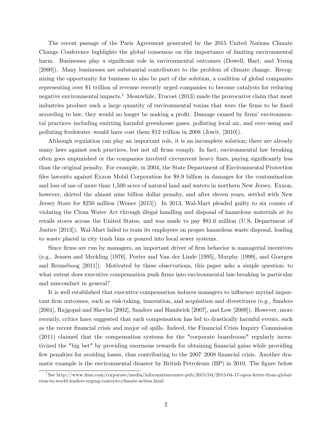The recent passage of the Paris Agreement generated by the 2015 United Nations Climate Change Conference highlights the global consensus on the importance of limiting environmental harm. Businesses play a significant role in environmental outcomes (Dowell, Hart, and Yeung [2000]). Many businesses are substantial contributors to the problem of climate change. Recognizing the opportunity for business to also be part of the solution, a coalition of global companies representing over \$1 trillion of revenue recently urged companies to become catalysts for reducing negative environmental impacts.<sup>1</sup> Meanwhile, Trucost (2013) made the provocative claim that most industries produce such a large quantity of environmental toxins that were the firms to be fined according to law, they would no longer be making a profit. Damage caused by firms' environmental practices–including emitting harmful greenhouse gases, polluting local air, and over-using and polluting freshwater–would have cost them  $$12$  trillion in 2008 (Jowit, [2010]).

Although regulation can play an important role, it is an incomplete solution; there are already many laws against such practices, but not all firms comply. In fact, environmental law breaking often goes unpunished or the companies involved circumvent heavy fines, paying significantly less than the original penalty. For example, in 2004, the State Department of Environmental Protection files lawsuits against Exxon Mobil Corporation for \$8.9 billion in damages for the contamination and loss of use of more than 1,500 acres of natural land and waters in northern New Jersey. Exxon, however, skirted the almost nine billion dollar penalty, and after eleven years, settled with New Jersey State for \$250 million (Weiser [2015]). In 2013, Wal-Mart pleaded guilty to six counts of violating the Clean Water Act through illegal handling and disposal of hazardous materials at its retails stores across the United States, and was made to pay \$81.6 million (U.S. Department of Justice [2013]). Wal-Mart failed to train its employees on proper hazardous waste disposal, leading to waste placed in city trash bins or poured into local sewer systems.

Since firms are run by managers, an important driver of firm behavior is managerial incentives (e.g., Jensen and Meckling [1976], Porter and Van der Linde [1995], Murphy [1999], and Goergen and Renneboog [2011]). Motivated by these observations, this paper asks a simple question: to what extent does executive compensation push firms into environmental law-breaking in particular and misconduct in general?

It is well established that executive compensation induces managers to influence myriad important firm outcomes, such as risk-taking, innovation, and acquisition and divestitures (e.g., Sanders [2001], Rajgopal and Shevlin [2002], Sanders and Hambrick [2007], and Low [2009]). However, more recently, critics have suggested that such compensation has led to drastically harmful events, such as the recent financial crisis and major oil spills. Indeed, the Financial Crisis Inquiry Commission (2011) claimed that the compensation systems for the "corporate boardroom" regularly incentivized the "big bet" by providing enormous rewards for obtaining financial gains while providing few penalties for avoiding losses, thus contributing to the 2007–2008 financial crisis. Another dramatic example is the environmental disaster by British Petroleum (BP) in 2010. The figure below

<sup>1</sup> See http://www.dsm.com/corporate/media/informationcenter-pub/2015/04/2015-04-17-open-letter-from-globalceos-to-world-leaders-urging-concrete-climate-action.html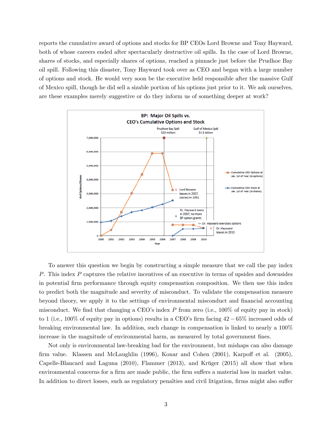reports the cumulative award of options and stocks for BP CEOs Lord Browne and Tony Hayward, both of whose careers ended after spectacularly destructive oil spills. In the case of Lord Browne, shares of stocks, and especially shares of options, reached a pinnacle just before the Prudhoe Bay oil spill. Following this disaster, Tony Hayward took over as CEO and began with a large number of options and stock. He would very soon be the executive held responsible after the massive Gulf of Mexico spill, though he did sell a sizable portion of his options just prior to it. We ask ourselves, are these examples merely suggestive or do they inform us of something deeper at work?



To answer this question we begin by constructing a simple measure that we call the pay index P. This index P captures the relative incentives of an executive in terms of upsides and downsides in potential Örm performance through equity compensation composition. We then use this index to predict both the magnitude and severity of misconduct. To validate the compensation measure beyond theory, we apply it to the settings of environmental misconduct and financial accounting misconduct. We find that changing a CEO's index  $P$  from zero (i.e., 100% of equity pay in stock) to 1 (i.e.,  $100\%$  of equity pay in options) results in a CEO's firm facing  $42-65\%$  increased odds of breaking environmental law. In addition, such change in compensation is linked to nearly a 100% increase in the magnitude of environmental harm, as measured by total government fines.

Not only is environmental law-breaking bad for the environment, but mishaps can also damage firm value. Klassen and McLaughlin (1996), Konar and Cohen (2001), Karpoff et al. (2005), Capelle-Blancard and Laguna  $(2010)$ , Flammer  $(2013)$ , and Krüger  $(2015)$  all show that when environmental concerns for a firm are made public, the firm suffers a material loss in market value. In addition to direct losses, such as regulatory penalties and civil litigation, firms might also suffer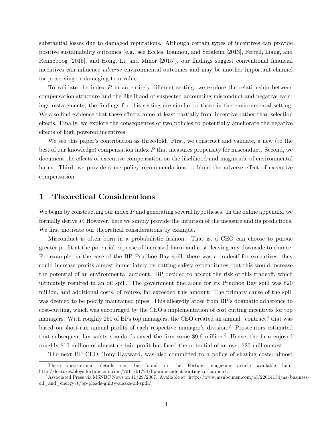substantial losses due to damaged reputations. Although certain types of incentives can provide positive sustainability outcomes (e.g., see Eccles, Ioannou, and Serafeim [2013], Ferrell, Liang, and Renneboog [2015], and Hong, Li, and Minor [2015]), our findings suggest conventional financial incentives can influence *adverse* environmental outcomes and may be another important channel for preserving or damaging firm value.

To validate the index  $P$  in an entirely different setting, we explore the relationship between compensation structure and the likelihood of suspected accounting misconduct and negative earnings restatements; the findings for this setting are similar to those in the environmental setting. We also find evidence that these effects come at least partially from incentive rather than selection effects. Finally, we explore the consequences of two policies to potentially ameliorate the negative effects of high powered incentives.

We see this paper's contribution as three-fold. First, we construct and validate, a new (to the best of our knowledge) compensation index  $P$  that measures propensity for misconduct. Second, we document the effects of executive compensation on the likelihood and magnitude of environmental harm. Third, we provide some policy recommendations to blunt the adverse effect of executive compensation.

## 1 Theoretical Considerations

We begin by constructing our index  $P$  and generating several hypotheses. In the online appendix, we formally derive P: However, here we simply provide the intuition of the measure and its predictions. We first motivate our theoretical considerations by example.

Misconduct is often born in a probabilistic fashion. That is, a CEO can choose to pursue greater profit at the potential expense of increased harm and cost, leaving any downside to chance. For example, in the case of the BP Prudhoe Bay spill, there was a tradeoff for executives: they could increase profits almost immediately by cutting safety expenditures, but this would increase the potential of an environmental accident. BP decided to accept the risk of this tradeoff, which ultimately resulted in an oil spill. The government fine alone for its Prudhoe Bay spill was \$20 million, and additional costs, of course, far exceeded this amount. The primary cause of the spill was deemed to be poorly maintained pipes. This allegedly arose from BP's dogmatic adherence to cost-cutting, which was encouraged by the CEO's implementation of cost cutting incentives for top managers. With roughly 250 of BPs top managers, the CEO created an annual "contract" that was based on short-run annual profits of each respective manager's division.<sup>2</sup> Prosecutors estimated that subsequent lax safety standards saved the firm some  $$9.6$  million.<sup>3</sup> Hence, the firm enjoyed roughly \$10 million of almost certain profit but faced the potential of an over \$20 million cost.

The next BP CEO, Tony Hayward, was also committed to a policy of shaving costs: almost

<sup>2</sup>These institutional details can be found in the Fortune magazine article available here: http://features.blogs.fortune.cnn.com/2011/01/24/bp-an-accident-waiting-to-happen/.

<sup>3</sup>Associated Press via MSNBC News on 11/29/2007. Available at: http://www.msnbc.msn.com/id/22014134/ns/businessoil and  $\text{energy}/t/\text{bp-pleads-gulity-alaska-oil-spill}/$ .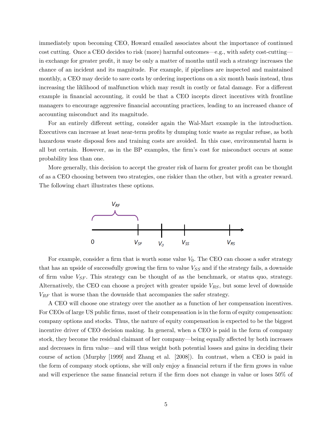immediately upon becoming CEO, Howard emailed associates about the importance of continued cost cutting. Once a CEO decides to risk (more) harmful outcomes—e.g., with safety cost-cutting in exchange for greater profit, it may be only a matter of months until such a strategy increases the chance of an incident and its magnitude. For example, if pipelines are inspected and maintained monthly, a CEO may decide to save costs by ordering inspections on a six month basis instead, thus increasing the liklihood of malfunction which may result in costly or fatal damage. For a different example in financial accounting, it could be that a CEO incepts direct incentives with frontline managers to encourage aggressive financial accounting practices, leading to an increased chance of accounting misconduct and its magnitude.

For an entirely different setting, consider again the Wal-Mart example in the introduction. Executives can increase at least near-term profits by dumping toxic waste as regular refuse, as both hazardous waste disposal fees and training costs are avoided. In this case, environmental harm is all but certain. However, as in the BP examples, the Örmís cost for misconduct occurs at some probability less than one.

More generally, this decision to accept the greater risk of harm for greater profit can be thought of as a CEO choosing between two strategies, one riskier than the other, but with a greater reward. The following chart illustrates these options.



For example, consider a firm that is worth some value  $V_0$ . The CEO can choose a safer strategy that has an upside of successfully growing the firm to value  $V_{SS}$  and if the strategy fails, a downside of firm value  $V_{SF}$ . This strategy can be thought of as the benchmark, or status quo, strategy. Alternatively, the CEO can choose a project with greater upside  $V_{RS}$ , but some level of downside  $V_{RF}$  that is worse than the downside that accompanies the safer strategy.

A CEO will choose one strategy over the another as a function of her compensation incentives. For CEOs of large US public firms, most of their compensation is in the form of equity compensation: company options and stocks. Thus, the nature of equity compensation is expected to be the biggest incentive driver of CEO decision making. In general, when a CEO is paid in the form of company stock, they become the residual claimant of her company—being equally affected by both increases and decreases in firm value—and will thus weight both potential losses and gains in deciding their course of action (Murphy [1999] and Zhang et al. [2008]). In contrast, when a CEO is paid in the form of company stock options, she will only enjoy a financial return if the firm grows in value and will experience the same financial return if the firm does not change in value or loses  $50\%$  of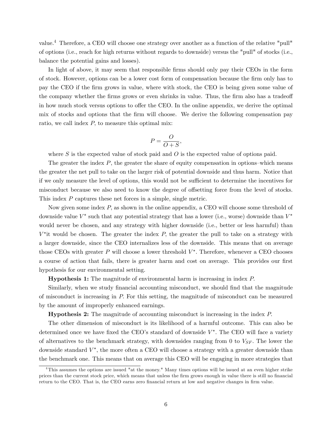value.<sup>4</sup> Therefore, a CEO will choose one strategy over another as a function of the relative "pull" of options (i.e., reach for high returns without regards to downside) versus the "pull" of stocks (i.e., balance the potential gains and losses).

In light of above, it may seem that responsible firms should only pay their CEOs in the form of stock. However, options can be a lower cost form of compensation because the Örm only has to pay the CEO if the Örm grows in value, where with stock, the CEO is being given some value of the company whether the firms grows or even shrinks in value. Thus, the firm also has a tradeoff in how much stock versus options to offer the CEO. In the online appendix, we derive the optimal mix of stocks and options that the firm will choose. We derive the following compensation pay ratio, we call index  $P$ , to measure this optimal mix:

$$
P = \frac{O}{O+S},
$$

where S is the expected value of stock paid and  $O$  is the expected value of options paid.

The greater the index  $P$ , the greater the share of equity compensation in options–which means the greater the net pull to take on the larger risk of potential downside and thus harm. Notice that if we only measure the level of options, this would not be sufficient to determine the incentives for misconduct because we also need to know the degree of offsetting force from the level of stocks. This index P captures these net forces in a simple, single metric.

Now given some index P; as shown in the online appendix, a CEO will choose some threshold of downside value  $V^*$  such that any potential strategy that has a lower (i.e., worse) downside than  $V^*$ would never be chosen, and any strategy with higher downside (i.e., better or less harmful) than  $V^*$ it would be chosen. The greater the index P, the greater the pull to take on a strategy with a larger downside, since the CEO internalizes less of the downside. This means that on average those CEOs with greater  $P$  will choose a lower threshold  $V^*$ . Therefore, whenever a CEO chooses a course of action that fails, there is greater harm and cost on average. This provides our first hypothesis for our environmental setting.

Hypothesis 1: The magnitude of environmental harm is increasing in index P:

Similarly, when we study financial accounting misconduct, we should find that the magnitude of misconduct is increasing in  $P$ . For this setting, the magnitude of misconduct can be measured by the amount of improperly enhanced earnings.

Hypothesis 2: The magnitude of accounting misconduct is increasing in the index P:

The other dimension of misconduct is its likelihood of a harmful outcome. This can also be determined once we have fixed the CEO's standard of downside  $V^*$ . The CEO will face a variety of alternatives to the benchmark strategy, with downsides ranging from 0 to  $V_{SF}$ . The lower the downside standard  $V^*$ , the more often a CEO will choose a strategy with a greater downside than the benchmark one. This means that on average this CEO will be engaging in more strategies that

 $4$ This assumes the options are issued "at the money." Many times options will be issued at an even higher strike prices than the current stock price, which means that unless the firm grows enough in value there is still no financial return to the CEO. That is, the CEO earns zero financial return at low and negative changes in firm value.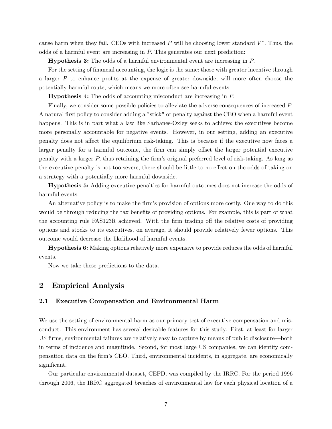cause harm when they fail. CEOs with increased  $P$  will be choosing lower standard  $V^*$ . Thus, the odds of a harmful event are increasing in  $P$ . This generates our next prediction:

Hypothesis 3: The odds of a harmful environmental event are increasing in P:

For the setting of financial accounting, the logic is the same: those with greater incentive through a larger  $P$  to enhance profits at the expense of greater downside, will more often choose the potentially harmful route, which means we more often see harmful events.

Hypothesis 4: The odds of accounting misconduct are increasing in P:

Finally, we consider some possible policies to alleviate the adverse consequences of increased P: A natural first policy to consider adding a "stick" or penalty against the CEO when a harmful event happens. This is in part what a law like Sarbanes-Oxley seeks to achieve: the executives become more personally accountable for negative events. However, in our setting, adding an executive penalty does not affect the equilibrium risk-taking. This is because if the executive now faces a larger penalty for a harmful outcome, the firm can simply offset the larger potential executive penalty with a larger  $P$ , thus retaining the firm's original preferred level of risk-taking. As long as the executive penalty is not too severe, there should be little to no effect on the odds of taking on a strategy with a potentially more harmful downside.

Hypothesis 5: Adding executive penalties for harmful outcomes does not increase the odds of harmful events.

An alternative policy is to make the firm's provision of options more costly. One way to do this would be through reducing the tax benefits of providing options. For example, this is part of what the accounting rule FAS123R achieved. With the firm trading off the relative costs of providing options and stocks to its executives, on average, it should provide relatively fewer options. This outcome would decrease the likelihood of harmful events.

Hypothesis 6: Making options relatively more expensive to provide reduces the odds of harmful events.

Now we take these predictions to the data.

## 2 Empirical Analysis

### 2.1 Executive Compensation and Environmental Harm

We use the setting of environmental harm as our primary test of executive compensation and misconduct. This environment has several desirable features for this study. First, at least for larger US firms, environmental failures are relatively easy to capture by means of public disclosure—both in terms of incidence and magnitude. Second, for most large US companies, we can identify compensation data on the Örmís CEO. Third, environmental incidents, in aggregate, are economically significant.

Our particular environmental dataset, CEPD, was compiled by the IRRC. For the period 1996 through 2006, the IRRC aggregated breaches of environmental law for each physical location of a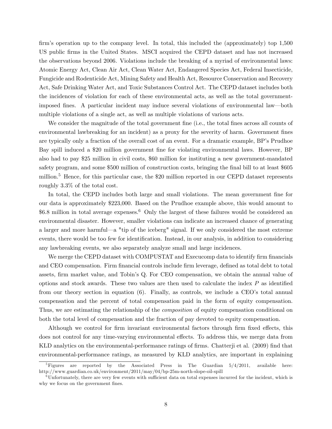firm's operation up to the company level. In total, this included the (approximately) top  $1,500$ US public Örms in the United States. MSCI acquired the CEPD dataset and has not increased the observations beyond 2006. Violations include the breaking of a myriad of environmental laws: Atomic Energy Act, Clean Air Act, Clean Water Act, Endangered Species Act, Federal Insecticide, Fungicide and Rodenticide Act, Mining Safety and Health Act, Resource Conservation and Recovery Act, Safe Drinking Water Act, and Toxic Substances Control Act. The CEPD dataset includes both the incidences of violation for each of these environmental acts, as well as the total governmentimposed fines. A particular incident may induce several violations of environmental law—both multiple violations of a single act, as well as multiple violations of various acts.

We consider the magnitude of the total government fine (i.e., the total fines across all counts of environmental lawbreaking for an incident) as a proxy for the severity of harm. Government fines are typically only a fraction of the overall cost of an event. For a dramatic example, BP's Prudhoe Bay spill induced a \$20 million government fine for violating environmental laws. However, BP also had to pay \$25 million in civil costs, \$60 million for instituting a new government-mandated safety program, and some \$500 million of construction costs, bringing the final bill to at least \$605 million.<sup>5</sup> Hence, for this particular case, the \$20 million reported in our CEPD dataset represents roughly 3:3% of the total cost.

In total, the CEPD includes both large and small violations. The mean government fine for our data is approximately \$223,000. Based on the Prudhoe example above, this would amount to  $$6.8$  million in total average expenses.<sup>6</sup> Only the largest of these failures would be considered an environmental disaster. However, smaller violations can indicate an increased chance of generating a larger and more harmful—a "tip of the iceberg" signal. If we only considered the most extreme events, there would be too few for identification. Instead, in our analysis, in addition to considering any lawbreaking events, we also separately analyze small and large incidences.

We merge the CEPD dataset with COMPUSTAT and Execucomp data to identify firm financials and CEO compensation. Firm financial controls include firm leverage, defined as total debt to total assets, firm market value, and Tobin's Q. For CEO compensation, we obtain the annual value of options and stock awards. These two values are then used to calculate the index  $P$  as identified from our theory section in equation  $(6)$ . Finally, as controls, we include a CEO's total annual compensation and the percent of total compensation paid in the form of equity compensation. Thus, we are estimating the relationship of the *composition* of equity compensation conditional on both the total level of compensation and the fraction of pay devoted to equity compensation.

Although we control for firm invariant environmental factors through firm fixed effects, this does not control for any time-varying environmental effects. To address this, we merge data from KLD analytics on the environmental-performance ratings of firms. Chatter i et al. (2009) find that environmental-performance ratings, as measured by KLD analytics, are important in explaining

 ${}^{5}$ Figures are reported by the Associated Press in The Guardian  $5/4/2011$ , available here: http://www.guardian.co.uk/environment/2011/may/04/bp-25m-north-slope-oil-spill

Unfortunately, there are very few events with sufficient data on total expenses incurred for the incident, which is why we focus on the government fines.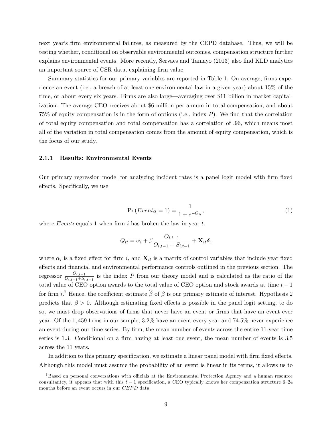next year's firm environmental failures, as measured by the CEPD database. Thus, we will be testing whether, conditional on observable environmental outcomes, compensation structure further explains environmental events. More recently, Servaes and Tamayo (2013) also find KLD analytics an important source of CSR data, explaining firm value.

Summary statistics for our primary variables are reported in Table 1. On average, firms experience an event (i.e., a breach of at least one environmental law in a given year) about 15% of the time, or about every six years. Firms are also large—averaging over \$11 billion in market capitalization. The average CEO receives about \$6 million per annum in total compensation, and about 75% of equity compensation is in the form of options (i.e., index  $P$ ). We find that the correlation of total equity compensation and total compensation has a correlation of .96, which means most all of the variation in total compensation comes from the amount of equity compensation, which is the focus of our study.

#### 2.1.1 Results: Environmental Events

Our primary regression model for analyzing incident rates is a panel logit model with Örm Öxed effects. Specifically, we use

$$
Pr(Event_{it} = 1) = \frac{1}{1 + e^{-Q_{it}}},
$$
\n(1)

where  $Event_i$  equals 1 when firm i has broken the law in year t.

$$
Q_{it} = \alpha_i + \beta \frac{O_{i,t-1}}{O_{i,t-1} + S_{i,t-1}} + \mathbf{X}_{it} \boldsymbol{\delta},
$$

where  $\alpha_i$  is a fixed effect for firm i, and  $\mathbf{X}_{it}$  is a matrix of control variables that include year fixed effects and financial and environmental performance controls outlined in the previous section. The regressor  $\frac{O_{i,t-1}}{O_{i,t-1}+S_i}$  $\frac{O_{i,t-1}}{O_{i,t-1}+S_{i,t-1}}$  is the index P from our theory model and is calculated as the ratio of the total value of CEO option awards to the total value of CEO option and stock awards at time  $t - 1$ for firm i.<sup>7</sup> Hence, the coefficient estimate  $\widehat{\beta}$  of  $\beta$  is our primary estimate of interest. Hypothesis 2 predicts that  $\beta > 0$ . Although estimating fixed effects is possible in the panel logit setting, to do so, we must drop observations of firms that never have an event or firms that have an event ever year. Of the  $1,459$  firms in our sample,  $3.2\%$  have an event every year and  $74.5\%$  never experience an event during our time series. By Örm, the mean number of events across the entire 11-year time series is 1.3. Conditional on a firm having at least one event, the mean number of events is 3.5 across the 11 years.

In addition to this primary specification, we estimate a linear panel model with firm fixed effects. Although this model must assume the probability of an event is linear in its terms, it allows us to

 $<sup>7</sup>$ Based on personal conversations with officials at the Environmental Protection Agency and a human resource</sup> consultantcy, it appears that with this  $t - 1$  specification, a CEO typically knows her compensation structure 6-24 months before an event occurs in our CEPD data.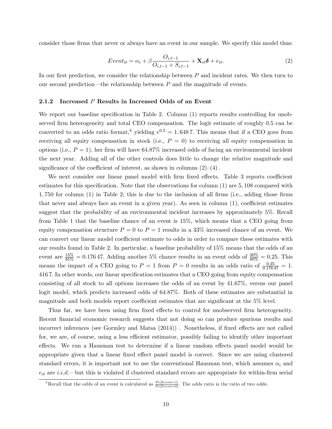consider those firms that never or always have an event in our sample. We specify this model thus:

$$
Event_{it} = \alpha_i + \beta \frac{O_{i,t-1}}{O_{i,t-1} + S_{i,t-1}} + \mathbf{X}_{it}\boldsymbol{\delta} + e_{it}.
$$
\n(2)

In our first prediction, we consider the relationship between  $P$  and incident rates. We then turn to our second prediction—the relationship between  $P$  and the magnitude of events.

### 2.1.2 Increased P Results in Increased Odds of an Event

We report our baseline specification in Table 2. Column  $(1)$  reports results controlling for unobserved firm heterogeneity and total CEO compensation. The logit estimate of roughly 0.5 can be converted to an odds ratio format,<sup>8</sup> yielding  $e^{0.5} = 1.6487$ . This means that if a CEO goes from receiving all equity compensation in stock (i.e.,  $P = 0$ ) to receiving all equity compensation in options (i.e.,  $P = 1$ ), her firm will have 64.87% increased odds of facing an environmental incident the next year. Adding all of the other controls does little to change the relative magnitude and significance of the coefficient of interest, as shown in columns  $(2)-(4)$ .

We next consider our linear panel model with firm fixed effects. Table 3 reports coefficient estimates for this specification. Note that the observations for column  $(1)$  are 5, 108 compared with  $1,750$  for column  $(1)$  in Table 2; this is due to the inclusion of all firms (i.e., adding those firms that never and always face an event in a given year). As seen in column  $(1)$ , coefficient estimates suggest that the probability of an environmental incident increases by approximately 5%: Recall from Table 1 that the baseline chance of an event is 15%; which means that a CEO going from equity compensation structure  $P = 0$  to  $P = 1$  results in a 33% increased chance of an event. We can convert our linear model coefficient estimate to odds in order to compare these estimates with our results found in Table 2. In particular, a baseline probability of 15% means that the odds of an event are  $\frac{15\%}{85\%} = 0.17647$ . Adding another 5% chance results in an event odds of  $\frac{20\%}{80\%} = 0.25$ . This means the impact of a CEO going to  $P = 1$  from  $P = 0$  results in an odds ratio of  $\frac{0.25}{0.17647} = 1$ . 4167. In other words, our linear specification estimates that a CEO going from equity compensation consisting of all stock to all options increases the odds of an event by 41:67%, versus our panel logit model, which predicts increased odds of 64:87%. Both of these estimates are substantial in magnitude and both models report coefficient estimates that are significant at the  $5\%$  level.

Thus far, we have been using firm fixed effects to control for unobserved firm heterogeneity. Recent financial economic research suggests that not doing so can produce spurious results and incorrect inferences (see Gormley and Matsa  $(2014)$ ). Nonetheless, if fixed effects are not called for, we are, of course, using a less efficient estimator, possibly failing to identify other important effects. We run a Hausman test to determine if a linear random effects panel model would be appropriate given that a linear fixed effect panel model is correct. Since we are using clustered standard errors, it is important not to use the conventional Hausman test, which assumes  $\alpha_i$  and  $e_{it}$  are  $i.i.d.$  but this is violated if clustered standard errors are appropriate for within-firm serial

<sup>&</sup>lt;sup>8</sup>Recall that the odds of an event is calculated as  $\frac{Pr[Event=1]}{Pr[Event=0]}$ . The odds ratio is the ratio of two odds.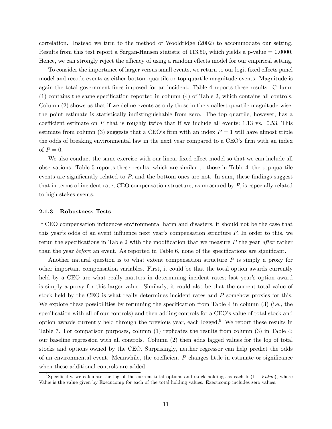correlation. Instead we turn to the method of Wooldridge (2002) to accommodate our setting. Results from this test report a Sargan-Hansen statistic of  $113.50$ , which yields a p-value  $= 0.0000$ . Hence, we can strongly reject the efficacy of using a random effects model for our empirical setting.

To consider the importance of larger versus small events, we return to our logit fixed effects panel model and recode events as either bottom-quartile or top-quartile magnitude events. Magnitude is again the total government fines imposed for an incident. Table 4 reports these results. Column  $(1)$  contains the same specification reported in column  $(4)$  of Table 2, which contains all controls. Column  $(2)$  shows us that if we define events as only those in the smallest quartile magnitude-wise, the point estimate is statistically indistinguishable from zero. The top quartile, however, has a coefficient estimate on  $P$  that is roughly twice that if we include all events: 1.13 vs. 0.53. This estimate from column (3) suggests that a CEO's firm with an index  $P = 1$  will have almost triple the odds of breaking environmental law in the next year compared to a CEO's firm with an index of  $P=0$ .

We also conduct the same exercise with our linear fixed effect model so that we can include all observations. Table 5 reports these results, which are similar to those in Table 4: the top-quartile events are significantly related to  $P$ , and the bottom ones are not. In sum, these findings suggest that in terms of incident rate, CEO compensation structure, as measured by  $P$ , is especially related to high-stakes events.

#### 2.1.3 Robustness Tests

If CEO compensation ináuences environmental harm and disasters, it should not be the case that this year's odds of an event influence next year's compensation structure  $P$ . In order to this, we rerun the specifications in Table 2 with the modification that we measure  $P$  the year after rather than the year before an event. As reported in Table  $6$ , none of the specifications are significant.

Another natural question is to what extent compensation structure  $P$  is simply a proxy for other important compensation variables. First, it could be that the total option awards currently held by a CEO are what really matters in determining incident rates; last year's option award is simply a proxy for this larger value. Similarly, it could also be that the current total value of stock held by the CEO is what really determines incident rates and P somehow proxies for this. We explore these possibilities by rerunning the specification from Table 4 in column  $(3)$  (i.e., the specification with all of our controls) and then adding controls for a CEO's value of total stock and option awards currently held through the previous year, each logged.<sup>9</sup> We report these results in Table 7. For comparison purposes, column (1) replicates the results from column (3) in Table 4: our baseline regression with all controls. Column (2) then adds lagged values for the log of total stocks and options owned by the CEO. Surprisingly, neither regressor can help predict the odds of an environmental event. Meanwhile, the coefficient  $P$  changes little in estimate or significance when these additional controls are added.

<sup>&</sup>lt;sup>9</sup>Specifically, we calculate the log of the current total options and stock holdings as each  $\ln(1+Value)$ , where Value is the value given by Execucomp for each of the total holding values. Execucomp includes zero values.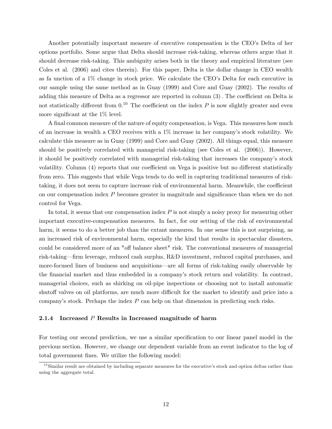Another potentially important measure of executive compensation is the CEO's Delta of her options portfolio. Some argue that Delta should increase risk-taking, whereas others argue that it should decrease risk-taking. This ambiguity arises both in the theory and empirical literature (see Coles et al. (2006) and cites therein). For this paper, Delta is the dollar change in CEO wealth as fa unction of a  $1\%$  change in stock price. We calculate the CEO's Delta for each executive in our sample using the same method as in Guay (1999) and Core and Guay (2002). The results of adding this measure of Delta as a regressor are reported in column  $(3)$ . The coefficient on Delta is not statistically different from  $0.1^{\circ}$  The coefficient on the index P is now slightly greater and even more significant at the  $1\%$  level.

A final common measure of the nature of equity compensation, is Vega. This measures how much of an increase in wealth a CEO receives with a  $1\%$  increase in her company's stock volatility. We calculate this measure as in Guay (1999) and Core and Guay (2002). All things equal, this measure should be positively correlated with managerial risk-taking (see Coles et al. (2006)). However, it should be positively correlated with managerial risk-taking that increases the company's stock volatility. Column (4) reports that our coefficient on Vega is positive but no different statistically from zero. This suggests that while Vega tends to do well in capturing traditional measures of risktaking, it does not seem to capture increase risk of environmental harm. Meanwhile, the coefficient on our compensation index  $P$  becomes greater in magnitude and significance than when we do not control for Vega.

In total, it seems that our compensation index  $P$  is not simply a noisy proxy for measuring other important executive-compensation measures. In fact, for our setting of the risk of environmental harm, it seems to do a better job than the extant measures. In one sense this is not surprising, as an increased risk of environmental harm, especially the kind that results in spectacular disasters, could be considered more of an "off balance sheet" risk. The conventional measures of managerial risk-taking—firm leverage, reduced cash surplus, R&D investment, reduced capital purchases, and more-focused lines of business and acquisitions—are all forms of risk-taking easily observable by the financial market and thus embedded in a company's stock return and volatility. In contrast, managerial choices, such as shirking on oil-pipe inspections or choosing not to install automatic shutoff valves on oil platforms, are much more difficult for the market to identify and price into a company's stock. Perhaps the index  $P$  can help on that dimension in predicting such risks.

### 2.1.4 Increased  $P$  Results in Increased magnitude of harm

For testing our second prediction, we use a similar specification to our linear panel model in the previous section. However, we change our dependent variable from an event indicator to the log of total government fines. We utilize the following model:

 $10$ Similar result are obtained by including separate measures for the executive's stock and option deltas rather than using the aggregate total.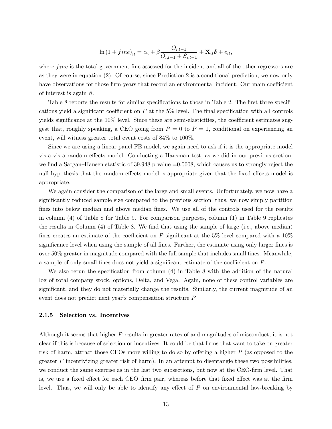$$
\ln (1 + fine)_{it} = \alpha_i + \beta \frac{O_{i,t-1}}{O_{i,t-1} + S_{i,t-1}} + \mathbf{X}_{it}\boldsymbol{\delta} + e_{it},
$$

where  $fine$  is the total government fine assessed for the incident and all of the other regressors are as they were in equation (2). Of course, since Prediction 2 is a conditional prediction, we now only have observations for those firm-years that record an environmental incident. Our main coefficient of interest is again  $\beta$ .

Table 8 reports the results for similar specifications to those in Table 2. The first three specifications yield a significant coefficient on P at the  $5\%$  level. The final specification with all controls yields significance at the  $10\%$  level. Since these are semi-elasticities, the coefficient estimates suggest that, roughly speaking, a CEO going from  $P = 0$  to  $P = 1$ , conditional on experiencing an event, will witness greater total event costs of  $84\%$  to  $100\%$ .

Since we are using a linear panel FE model, we again need to ask if it is the appropriate model vis-a-vis a random effects model. Conducting a Hausman test, as we did in our previous section, we find a Sargan–Hansen statistic of  $39.948$  p-value  $=0.0008$ , which causes us to strongly reject the null hypothesis that the random effects model is appropriate given that the fixed effects model is appropriate.

We again consider the comparison of the large and small events. Unfortunately, we now have a significantly reduced sample size compared to the previous section; thus, we now simply partition fines into below median and above median fines. We use all of the controls used for the results in column (4) of Table 8 for Table 9. For comparison purposes, column (1) in Table 9 replicates the results in Column  $(4)$  of Table 8. We find that using the sample of large (i.e., above median) fines creates an estimate of the coefficient on P significant at the 5% level compared with a  $10\%$ significance level when using the sample of all fines. Further, the estimate using only larger fines is over  $50\%$  greater in magnitude compared with the full sample that includes small fines. Meanwhile, a sample of only small fines does not yield a significant estimate of the coefficient on  $P$ .

We also rerun the specification from column  $(4)$  in Table 8 with the addition of the natural log of total company stock, options, Delta, and Vega. Again, none of these control variables are significant, and they do not materially change the results. Similarly, the current magnitude of an event does not predict next year's compensation structure  $P$ .

#### 2.1.5 Selection vs. Incentives

Although it seems that higher P results in greater rates of and magnitudes of misconduct, it is not clear if this is because of selection or incentives. It could be that Örms that want to take on greater risk of harm, attract those CEOs more willing to do so by offering a higher  $P$  (as opposed to the greater  $P$  incentivizing greater risk of harm). In an attempt to disentangle these two possibilities, we conduct the same exercise as in the last two subsections, but now at the CEO-firm level. That is, we use a fixed effect for each CEO–firm pair, whereas before that fixed effect was at the firm level. Thus, we will only be able to identify any effect of  $P$  on environmental law-breaking by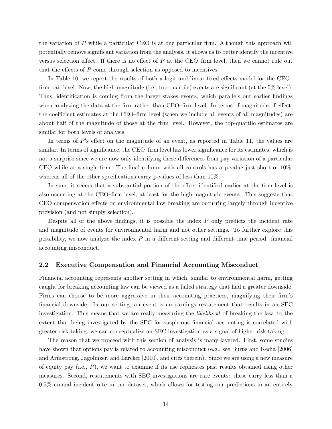the variation of  $P$  while a particular CEO is at one particular firm. Although this approach will potentially remove significant variation from the analysis, it allows us to better identify the incentive versus selection effect. If there is no effect of  $P$  at the CEO-firm level, then we cannot rule out that the effects of  $P$  come through selection as opposed to incentives.

In Table 10, we report the results of both a logit and linear fixed effects model for the CEO– firm pair level. Now, the high-magnitude (i.e., top-quartile) events are significant (at the  $5\%$  level). Thus, identification is coming from the larger-stakes events, which parallels our earlier findings when analyzing the data at the firm rather than CEO-firm level. In terms of magnitude of effect, the coefficient estimates at the CEO-firm level (when we include all events of all magnitudes) are about half of the magnitude of those at the firm level. However, the top-quartile estimates are similar for both levels of analysis.

In terms of  $P$ 's effect on the magnitude of an event, as reported in Table 11, the values are similar. In terms of significance, the CEO-firm level has lower significance for its estimates, which is not a surprise since we are now only identifying these differences from pay variation of a particular CEO while at a single firm. The final column with all controls has a p-value just short of  $10\%$ , whereas all of the other specifications carry p-values of less than  $10\%$ .

In sum, it seems that a substantial portion of the effect identified earlier at the firm level is also occurring at the CEO-firm level, at least for the high-magnitude events. This suggests that CEO compensation effects on environmental law-breaking are occurring largely through incentive provision (and not simply selection).

Despite all of the above findings, it is possible the index  $P$  only predicts the incident rate and magnitude of events for environmental harm and not other settings. To further explore this possibility, we now analyze the index  $P$  in a different setting and different time period: financial accounting misconduct.

### 2.2 Executive Compensation and Financial Accounting Misconduct

Financial accounting represents another setting in which, similar to environmental harm, getting caught for breaking accounting law can be viewed as a failed strategy that had a greater downside. Firms can choose to be more aggressive in their accounting practices, magnifying their firm's Önancial downside. In our setting, an event is an earnings restatement that results in an SEC investigation. This means that we are really measuring the *likelihood* of breaking the law; to the extent that being investigated by the SEC for suspicious financial accounting is correlated with greater risk-taking, we can conceptualize an SEC investigation as a signal of higher risk-taking.

The reason that we proceed with this section of analysis is many-layered. First, some studies have shown that options pay is related to accounting misconduct (e.g., see Burns and Kedia [2006] and Armstrong, Jagolinzer, and Larcker [2010], and cites therein). Since we are using a new measure of equity pay (i.e.,  $P$ ), we want to examine if its use replicates past results obtained using other measures. Second, restatements with SEC investigations are rare events: these carry less than a 0:5% annual incident rate in our dataset, which allows for testing our predictions in an entirely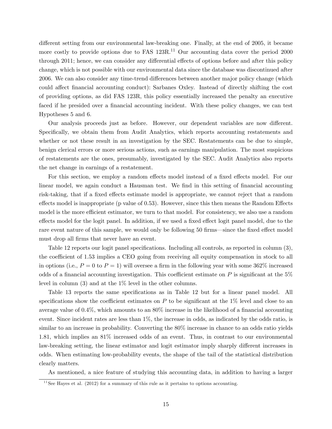different setting from our environmental law-breaking one. Finally, at the end of 2005, it became more costly to provide options due to FAS 123R.<sup>11</sup> Our accounting data cover the period 2000 through 2011; hence, we can consider any differential effects of options before and after this policy change, which is not possible with our environmental data since the database was discontinued after 2006. We can also consider any time-trend differences between another major policy change (which could affect financial accounting conduct): Sarbanes Oxley. Instead of directly shifting the cost of providing options, as did FAS 123R, this policy essentially increased the penalty an executive faced if he presided over a financial accounting incident. With these policy changes, we can test Hypotheses 5 and 6.

Our analysis proceeds just as before. However, our dependent variables are now different. Specifically, we obtain them from Audit Analytics, which reports accounting restatements and whether or not these result in an investigation by the SEC. Restatements can be due to simple, benign clerical errors or more serious actions, such as earnings manipulation. The most suspicious of restatements are the ones, presumably, investigated by the SEC. Audit Analytics also reports the net change in earnings of a restatement.

For this section, we employ a random effects model instead of a fixed effects model. For our linear model, we again conduct a Hausman test. We find in this setting of financial accounting risk-taking, that if a fixed effects estimate model is appropriate, we cannot reject that a random effects model is inappropriate (p value of  $(0.53)$ ). However, since this then means the Random Effects model is the more efficient estimator, we turn to that model. For consistency, we also use a random effects model for the logit panel. In addition, if we used a fixed effect logit panel model, due to the rare event nature of this sample, we would only be following 50 firms—since the fixed effect model must drop all firms that never have an event.

Table 12 reports our logit panel specifications. Including all controls, as reported in column (3), the coefficient of 1.53 implies a CEO going from receiving all equity compensation in stock to all in options (i.e.,  $P = 0$  to  $P = 1$ ) will oversee a firm in the following year with some 362% increased odds of a financial accounting investigation. This coefficient estimate on  $P$  is significant at the  $5\%$ level in column (3) and at the 1% level in the other columns.

Table 13 reports the same specifications as in Table 12 but for a linear panel model. All specifications show the coefficient estimates on P to be significant at the  $1\%$  level and close to an average value of  $0.4\%$ , which amounts to an  $80\%$  increase in the likelihood of a financial accounting event. Since incident rates are less than  $1\%$ , the increase in odds, as indicated by the odds ratio, is similar to an increase in probability. Converting the 80% increase in chance to an odds ratio yields 1:81, which implies an 81% increased odds of an event. Thus, in contrast to our environmental law-breaking setting, the linear estimator and logit estimator imply sharply different increases in odds. When estimating low-probability events, the shape of the tail of the statistical distribution clearly matters.

As mentioned, a nice feature of studying this accounting data, in addition to having a larger

 $11$  See Hayes et al. (2012) for a summary of this rule as it pertains to options accounting.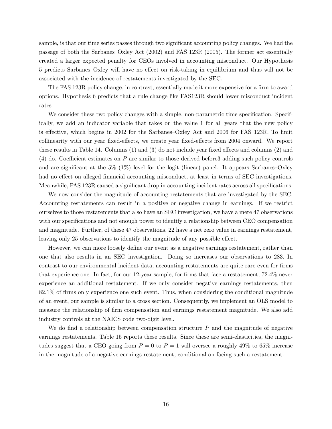sample, is that our time series passes through two significant accounting policy changes. We had the passage of both the Sarbanes–Oxley Act  $(2002)$  and FAS 123R  $(2005)$ . The former act essentially created a larger expected penalty for CEOs involved in accounting misconduct. Our Hypothesis 5 predicts Sarbanes–Oxley will have no effect on risk-taking in equilibrium and thus will not be associated with the incidence of restatements investigated by the SEC.

The FAS 123R policy change, in contrast, essentially made it more expensive for a firm to award options. Hypothesis 6 predicts that a rule change like FAS123R should lower misconduct incident rates

We consider these two policy changes with a simple, non-parametric time specification. Specifically, we add an indicator variable that takes on the value 1 for all years that the new policy is effective, which begins in 2002 for the Sarbanes–Oxley Act and 2006 for FAS 123R. To limit collinearity with our year fixed-effects, we create year fixed-effects from 2004 onward. We report these results in Table 14. Columns  $(1)$  and  $(3)$  do not include year fixed effects and columns  $(2)$  and (4) do. Coefficient estimates on P are similar to those derived before 3 adding such policy controls and are significant at the  $5\%$  (1%) level for the logit (linear) panel. It appears Sarbanes–Oxley had no effect on alleged financial accounting misconduct, at least in terms of SEC investigations. Meanwhile, FAS 123R caused a significant drop in accounting incident rates across all specifications.

We now consider the magnitude of accounting restatements that are investigated by the SEC. Accounting restatements can result in a positive or negative change in earnings. If we restrict ourselves to those restatements that also have an SEC investigation, we have a mere 47 observations with our specifications and not enough power to identify a relationship between CEO compensation and magnitude. Further, of these 47 observations, 22 have a net zero value in earnings restatement, leaving only 25 observations to identify the magnitude of any possible effect.

However, we can more loosely define our event as a negative earnings restatement, rather than one that also results in an SEC investigation. Doing so increases our observations to 283: In contrast to our environmental incident data, accounting restatements are quite rare even for firms that experience one. In fact, for our 12-year sample, for firms that face a restatement, 72.4% never experience an additional restatement. If we only consider negative earnings restatements, then  $82.1\%$  of firms only experience one such event. Thus, when considering the conditional magnitude of an event, our sample is similar to a cross section. Consequently, we implement an OLS model to measure the relationship of firm compensation and earnings restatement magnitude. We also add industry controls at the NAICS code two-digit level.

We do find a relationship between compensation structure  $P$  and the magnitude of negative earnings restatements. Table 15 reports these results. Since these are semi-elasticities, the magnitudes suggest that a CEO going from  $P = 0$  to  $P = 1$  will oversee a roughly 49% to 65% increase in the magnitude of a negative earnings restatement, conditional on facing such a restatement.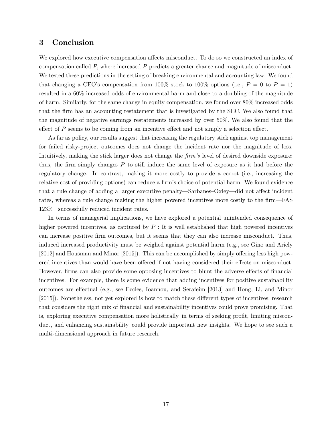## 3 Conclusion

We explored how executive compensation affects misconduct. To do so we constructed an index of compensation called P; where increased P predicts a greater chance and magnitude of misconduct. We tested these predictions in the setting of breaking environmental and accounting law. We found that changing a CEO's compensation from 100% stock to 100% options (i.e.,  $P = 0$  to  $P = 1$ ) resulted in a 60% increased odds of environmental harm and close to a doubling of the magnitude of harm. Similarly, for the same change in equity compensation, we found over 80% increased odds that the Örm has an accounting restatement that is investigated by the SEC. We also found that the magnitude of negative earnings restatements increased by over 50%: We also found that the effect of  $P$  seems to be coming from an incentive effect and not simply a selection effect.

As far as policy, our results suggest that increasing the regulatory stick against top management for failed risky-project outcomes does not change the incident rate nor the magnitude of loss. Intuitively, making the stick larger does not change the  $\lim s$  level of desired downside exposure: thus, the firm simply changes  $P$  to still induce the same level of exposure as it had before the regulatory change. In contrast, making it more costly to provide a carrot (i.e., increasing the relative cost of providing options) can reduce a firm's choice of potential harm. We found evidence that a rule change of adding a larger executive penalty—Sarbanes–Oxley—did not affect incident rates, whereas a rule change making the higher powered incentives more costly to the firm—FAS 123R—successfully reduced incident rates.

In terms of managerial implications, we have explored a potential unintended consequence of higher powered incentives, as captured by  $P:$  It is well established that high powered incentives can increase positive Örm outcomes, but it seems that they can also increase misconduct. Thus, induced increased productivity must be weighed against potential harm (e.g., see Gino and Ariely  $[2012]$  and Housman and Minor  $[2015]$ . This can be accomplished by simply offering less high powered incentives than would have been offered if not having considered their effects on misconduct. However, firms can also provide some opposing incentives to blunt the adverse effects of financial incentives. For example, there is some evidence that adding incentives for positive sustainability outcomes are effectual (e.g., see Eccles, Ioannou, and Serafeim [2013] and Hong, Li, and Minor [2015]). Nonetheless, not yet explored is how to match these different types of incentives; research that considers the right mix of financial and sustainability incentives could prove promising. That is, exploring executive compensation more holistically—in terms of seeking profit, limiting misconduct, and enhancing sustainability–could provide important new insights. We hope to see such a multi-dimensional approach in future research.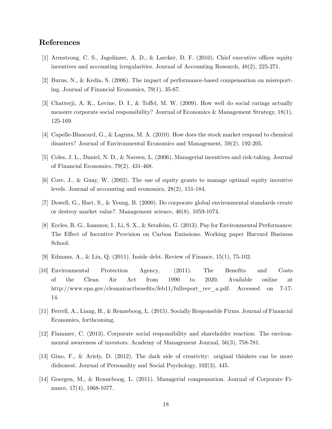## References

- [1] Armstrong, C. S., Jagolinzer, A. D., & Larcker, D. F. (2010). Chief executive officer equity incentives and accounting irregularities. Journal of Accounting Research, 48(2), 225-271.
- [2] Burns, N., & Kedia, S. (2006). The impact of performance-based compensation on misreporting. Journal of Financial Economics, 79(1), 35-67.
- [3] Chatterji, A. K., Levine, D. I., & Toffel, M. W.  $(2009)$ . How well do social ratings actually measure corporate social responsibility? Journal of Economics & Management Strategy, 18(1), 125-169.
- [4] Capelle-Blancard, G., & Laguna, M. A. (2010). How does the stock market respond to chemical disasters? Journal of Environmental Economics and Management, 59(2), 192-205.
- [5] Coles, J. L., Daniel, N. D., & Naveen, L. (2006). Managerial incentives and risk-taking. Journal of Financial Economics, 79(2), 431-468.
- [6] Core, J., & Guay, W. (2002). The use of equity grants to manage optimal equity incentive levels. Journal of accounting and economics, 28(2), 151-184.
- [7] Dowell, G., Hart, S., & Yeung, B. (2000). Do corporate global environmental standards create or destroy market value?. Management science, 46(8), 1059-1074.
- [8] Eccles, R. G., Ioannou, I., Li, S. X., & Serafeim, G. (2013). Pay for Environmental Performance: The Effect of Incentive Provision on Carbon Emissions. Working paper Harvard Business School.
- [9] Edmans, A., & Liu, Q. (2011). Inside debt. Review of Finance, 15(1), 75-102.
- [10] Environmental Protection Agency, (2011). The Benefits and Costs of the Clean Air Act from 1990 to 2020. Available online at http://www.epa.gov/cleanairactbenefits/feb11/fullreport\_rev\_a.pdf. Accessed on 7-17-14.
- [11] Ferrell, A., Liang, H., & Renneboog, L. (2015). Socially Responsible Firms. Journal of Financial Economics, forthcoming.
- [12] Flammer, C. (2013). Corporate social responsibility and shareholder reaction: The environmental awareness of investors. Academy of Management Journal, 56(3), 758-781.
- [13] Gino, F., & Ariely, D. (2012). The dark side of creativity: original thinkers can be more dishonest. Journal of Personality and Social Psychology, 102(3), 445.
- [14] Goergen, M., & Renneboog, L. (2011). Managerial compensation. Journal of Corporate Finance, 17(4), 1068-1077.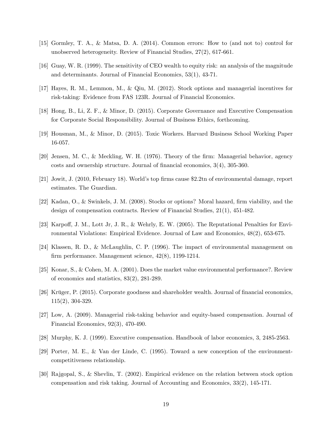- [15] Gormley, T. A., & Matsa, D. A. (2014). Common errors: How to (and not to) control for unobserved heterogeneity. Review of Financial Studies, 27(2), 617-661.
- [16] Guay, W. R. (1999). The sensitivity of CEO wealth to equity risk: an analysis of the magnitude and determinants. Journal of Financial Economics, 53(1), 43-71.
- [17] Hayes, R. M., Lemmon, M., & Qiu, M. (2012). Stock options and managerial incentives for risk-taking: Evidence from FAS 123R. Journal of Financial Economics.
- [18] Hong, B., Li, Z. F., & Minor, D. (2015). Corporate Governance and Executive Compensation for Corporate Social Responsibility. Journal of Business Ethics, forthcoming.
- [19] Housman, M., & Minor, D. (2015). Toxic Workers. Harvard Business School Working Paper 16-057.
- [20] Jensen, M. C., & Meckling, W. H. (1976). Theory of the Örm: Managerial behavior, agency  $costs$  and ownership structure. Journal of financial economics,  $3(4)$ ,  $305-360$ .
- [21] Jowit, J. (2010, February 18). World's top firms cause \$2.2tn of environmental damage, report estimates. The Guardian.
- [22] Kadan, O., & Swinkels, J. M. (2008). Stocks or options? Moral hazard, Örm viability, and the design of compensation contracts. Review of Financial Studies, 21(1), 451-482.
- [23] Karpoff, J. M., Lott Jr, J. R., & Wehrly, E. W. (2005). The Reputational Penalties for Environmental Violations: Empirical Evidence. Journal of Law and Economics, 48(2), 653-675.
- [24] Klassen, R. D., & McLaughlin, C. P. (1996). The impact of environmental management on firm performance. Management science,  $42(8)$ , 1199-1214.
- [25] Konar, S., & Cohen, M. A. (2001). Does the market value environmental performance?. Review of economics and statistics, 83(2), 281-289.
- [26] Krüger, P. (2015). Corporate goodness and shareholder wealth. Journal of financial economics, 115(2), 304-329.
- [27] Low, A. (2009). Managerial risk-taking behavior and equity-based compensation. Journal of Financial Economics, 92(3), 470-490.
- [28] Murphy, K. J. (1999). Executive compensation. Handbook of labor economics, 3, 2485-2563.
- [29] Porter, M. E., & Van der Linde, C. (1995). Toward a new conception of the environmentcompetitiveness relationship.
- [30] Rajgopal, S., & Shevlin, T. (2002). Empirical evidence on the relation between stock option compensation and risk taking. Journal of Accounting and Economics, 33(2), 145-171.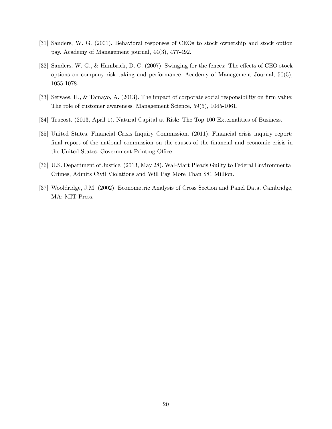- [31] Sanders, W. G. (2001). Behavioral responses of CEOs to stock ownership and stock option pay. Academy of Management journal, 44(3), 477-492.
- [32] Sanders, W. G., & Hambrick, D. C. (2007). Swinging for the fences: The effects of CEO stock options on company risk taking and performance. Academy of Management Journal, 50(5), 1055-1078.
- [33] Servaes, H., & Tamayo, A. (2013). The impact of corporate social responsibility on firm value: The role of customer awareness. Management Science, 59(5), 1045-1061.
- [34] Trucost. (2013, April 1). Natural Capital at Risk: The Top 100 Externalities of Business.
- [35] United States. Financial Crisis Inquiry Commission. (2011). Financial crisis inquiry report: final report of the national commission on the causes of the financial and economic crisis in the United States. Government Printing Office.
- [36] U.S. Department of Justice. (2013, May 28). Wal-Mart Pleads Guilty to Federal Environmental Crimes, Admits Civil Violations and Will Pay More Than \$81 Million.
- [37] Wooldridge, J.M. (2002). Econometric Analysis of Cross Section and Panel Data. Cambridge, MA: MIT Press.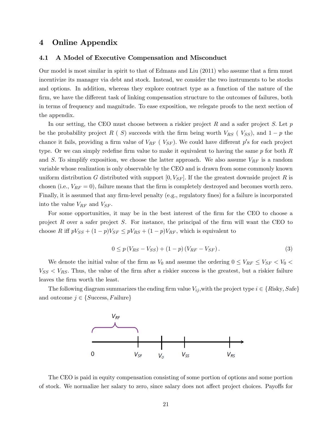### 4 Online Appendix

#### 4.1 A Model of Executive Compensation and Misconduct

Our model is most similar in spirit to that of Edmans and Liu  $(2011)$  who assume that a firm must incentivize its manager via debt and stock. Instead, we consider the two instruments to be stocks and options. In addition, whereas they explore contract type as a function of the nature of the firm, we have the different task of linking compensation structure to the outcomes of failures, both in terms of frequency and magnitude. To ease exposition, we relegate proofs to the next section of the appendix.

In our setting, the CEO must choose between a riskier project R and a safer project S. Let  $p$ be the probability project R (S) succeeds with the firm being worth  $V_{RS}$  (V<sub>SS</sub>), and  $1-p$  the chance it fails, providing a firm value of  $V_{RF}$  ( $V_{SF}$ ). We could have different p's for each project type. Or we can simply redefine firm value to make it equivalent to having the same  $p$  for both  $R$ and S. To simplify exposition, we choose the latter approach. We also assume  $V_{RF}$  is a random variable whose realization is only observable by the CEO and is drawn from some commonly known uniform distribution G distributed with support  $[0, V_{SF}]$ . If the the greatest downside project R is chosen (i.e.,  $V_{RF} = 0$ ), failure means that the firm is completely destroyed and becomes worth zero. Finally, it is assumed that any firm-level penalty (e.g., regulatory fines) for a failure is incorporated into the value  $V_{RF}$  and  $V_{SF}$ .

For some opportunities, it may be in the best interest of the firm for the CEO to choose a project R over a safer project  $S$ . For instance, the principal of the firm will want the CEO to choose R iff  $pV_{SS} + (1-p)V_{SF} \leq pV_{RS} + (1-p)V_{RF}$ , which is equivalent to

$$
0 \le p(V_{RS} - V_{SS}) + (1 - p)(V_{RF} - V_{SF}).
$$
\n(3)

We denote the initial value of the firm as  $V_0$  and assume the ordering  $0 \leq V_{RF} \leq V_{SF} < V_0$  $V_{SS} < V_{RS}$ . Thus, the value of the firm after a riskier success is the greatest, but a riskier failure leaves the firm worth the least.

The following diagram summarizes the ending firm value  $V_{ij}$ , with the project type  $i \in \{R\text{isky},\text{Safe}\}$ and outcome  $j \in \{Success, F \text{ailure}\}\$ 



The CEO is paid in equity compensation consisting of some portion of options and some portion of stock. We normalize her salary to zero, since salary does not affect project choices. Payoffs for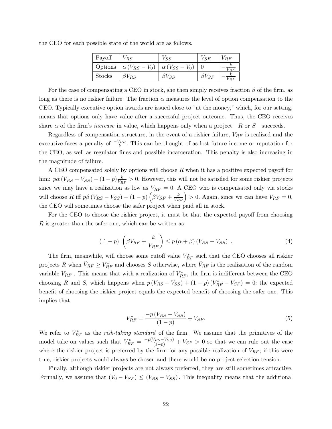| Payoff        | $V_{RS}$                                              | $V_{SS}$       | $V_{SF}$       | $V_{RF}$ |
|---------------|-------------------------------------------------------|----------------|----------------|----------|
|               | Options $\alpha (V_{RS} - V_0) \alpha (V_{SS} - V_0)$ |                |                | $R$ $F$  |
| <b>Stocks</b> | $\beta V_{RS}$                                        | $\beta V_{SS}$ | $\beta V_{SF}$ |          |

the CEO for each possible state of the world are as follows.

For the case of compensating a CEO in stock, she then simply receives fraction  $\beta$  of the firm, as long as there is no riskier failure. The fraction  $\alpha$  measures the level of option compensation to the CEO. Typically executive option awards are issued close to "at the money," which, for our setting, means that options only have value after a successful project outcome. Thus, the CEO receives share  $\alpha$  of the firm's *increase* in value, which happens only when a project—R or S—succeeds.

Regardless of compensation structure, in the event of a riskier failure,  $V_{RF}$  is realized and the executive faces a penalty of  $\frac{-V_{RF}}{k}$ . This can be thought of as lost future income or reputation for the CEO, as well as regulator fines and possible incarceration. This penalty is also increasing in the magnitude of failure.

A CEO compensated solely by options will choose  $R$  when it has a positive expected payoff for him:  $p\alpha (V_{RS} - V_{SS}) - (1 - p)\frac{k}{V_R}$  $\frac{k}{V_{RF}} > 0$ . However, this will not be satisfied for some riskier projects since we may have a realization as low as  $V_{RF} = 0$ . A CEO who is compensated only via stocks will choose R iff  $p\beta (V_{RS} - V_{SS}) - (1-p)\left(\beta V_{SF} + \frac{k}{V_{RF}}\right) > 0$ . Again, since we can have  $V_{RF} = 0$ , the CEO will sometimes choose the safer project when paid all in stock.

For the CEO to choose the riskier project, it must be that the expected payoff from choosing R is greater than the safer one, which can be written as

$$
(1-p)\left(\beta V_{SF} + \frac{k}{V_{RF}}\right) \le p\left(\alpha + \beta\right)\left(V_{RS} - V_{SS}\right) \tag{4}
$$

The firm, meanwhile, will choose some cutoff value  $V_{RF}^*$  such that the CEO chooses all riskier projects R when  $V_{RF} \geq V_{RF}^*$  and chooses S otherwise, where  $V_{RF}$  is the realization of the random variable  $V_{RF}$  . This means that with a realization of  $V_{RF}^*$ , the firm is indifferent between the CEO choosing R and S, which happens when  $p(V_{RS} - V_{SS}) + (1 - p)(V_{RF}^* - V_{SF}) = 0$ : the expected benefit of choosing the riskier project equals the expected benefit of choosing the safer one. This implies that

$$
V_{RF}^{*} = \frac{-p(V_{RS} - V_{SS})}{(1 - p)} + V_{SF}.
$$
\n(5)

We refer to  $V_{RF}^*$  as the *risk-taking standard* of the firm. We assume that the primitives of the model take on values such that  $V_{RF}^* = \frac{-p(V_{RS}-V_{SS})}{(1-p)} + V_{SF} > 0$  so that we can rule out the case where the riskier project is preferred by the firm for any possible realization of  $V_{RF}$ ; if this were true, riskier projects would always be chosen and there would be no project selection tension.

Finally, although riskier projects are not always preferred, they are still sometimes attractive. Formally, we assume that  $(V_0 - V_{SF}) \leq (V_{RS} - V_{SS})$ . This inequality means that the additional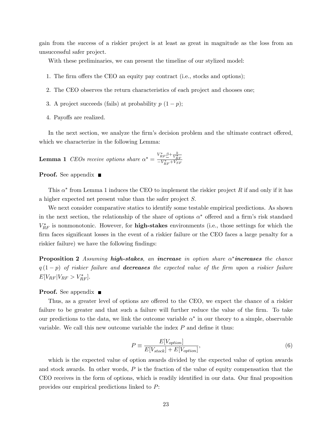gain from the success of a riskier project is at least as great in magnitude as the loss from an unsuccessful safer project.

With these preliminaries, we can present the timeline of our stylized model:

- 1. The firm offers the CEO an equity pay contract (i.e., stocks and options);
- 2. The CEO observes the return characteristics of each project and chooses one;
- 3. A project succeeds (fails) at probability  $p(1-p)$ ;
- 4. Payoffs are realized.

In the next section, we analyze the firm's decision problem and the ultimate contract offered, which we characterize in the following Lemma:

**Lemma 1** CEOs receive options share  $\alpha^* = \frac{V_{RF}^* \beta + \frac{k}{V_{RF}^*}}{-V_{RF}^* + V_{SF}^*}$ 

**Proof.** See appendix  $\blacksquare$ 

This  $\alpha^*$  from Lemma 1 induces the CEO to implement the riskier project R if and only if it has a higher expected net present value than the safer project  $S$ .

We next consider comparative statics to identify some testable empirical predictions. As shown in the next section, the relationship of the share of options  $\alpha^*$  offered and a firm's risk standard  $V_{RF}^*$  is nonmonotonic. However, for **high-stakes** environments (i.e., those settings for which the firm faces significant losses in the event of a riskier failure or the CEO faces a large penalty for a riskier failure) we have the following findings:

**Proposition 2** Assuming **high-stakes**, an **increase** in option share  $\alpha^*$ **increases** the chance  $q(1-p)$  of riskier failure and **decreases** the expected value of the firm upon a riskier failure  $E[V_{RF}|V_{RF} > V_{RF}^*].$ 

#### **Proof.** See appendix  $\blacksquare$

Thus, as a greater level of options are offered to the CEO, we expect the chance of a riskier failure to be greater and that such a failure will further reduce the value of the firm. To take our predictions to the data, we link the outcome variable  $\alpha^*$  in our theory to a simple, observable variable. We call this new outcome variable the index  $P$  and define it thus:

$$
P \equiv \frac{E[V_{option}]}{E[V_{stock}] + E[V_{option}]},\tag{6}
$$

which is the expected value of option awards divided by the expected value of option awards and stock awards. In other words, P is the fraction of the value of equity compensation that the CEO receives in the form of options, which is readily identified in our data. Our final proposition provides our empirical predictions linked to P: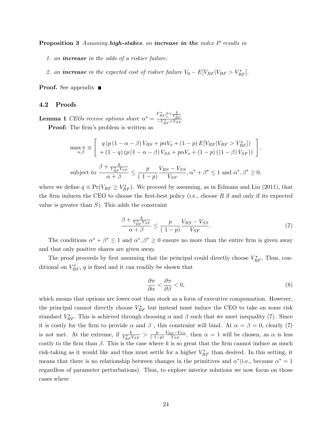**Proposition 3** Assuming **high-stakes**, an **increase in the** index P results in

- 1. an increase in the odds of a riskier failure;
- 2. an **increase** in the expected cost of riskier failure  $V_0 E[V_{RF}|V_{RF} > V_{RF}^*].$

**Proof.** See appendix  $\blacksquare$ 

#### 4.2 Proofs

**Lemma 1** CEOs receive options share  $\alpha^* = \frac{V_{RF}^* \beta + \frac{k}{V_{RF}^*}}{-V_{RF}^* + V_{SF}^*}$ 

Proof: The firm's problem is written as

$$
\max_{\alpha,\beta} \pi \equiv \begin{bmatrix} q \left( p \left( 1 - \alpha - \beta \right) V_{RS} + p \alpha V_o + (1 - p) E[V_{RF} | V_{RF} > V_{RF}^*]) \\ + (1 - q) \left( p \left( 1 - \alpha - \beta \right) V_{SS} + p \alpha V_o + (1 - p) \left( (1 - \beta) V_{SF} \right) \right) \end{bmatrix},
$$
\nsubject to\n
$$
\frac{\beta + \frac{k}{V_{RF}^* V_{SF}}}{\alpha + \beta} \leq \frac{p}{(1 - p)} \frac{V_{RS} - V_{SS}}{V_{SF}}, \alpha^* + \beta^* \leq 1 \text{ and } \alpha^*, \beta^* \geq 0,
$$

where we define  $q \equiv Pr(V_{RF} \geq V_{RF}^*)$ . We proceed by assuming, as in Edmans and Liu (2011), that the firm induces the CEO to choose the first-best policy (i.e., choose  $R$  if and only if its expected value is greater than  $S$ ). This adds the constraint

$$
\frac{\beta + \frac{k}{V_{RF}^*V_{SF}}}{\alpha + \beta} \le \frac{p}{(1-p)} \frac{V_{RS} - V_{SS}}{V_{SF}}.\tag{7}
$$

The conditions  $\alpha^* + \beta^* \leq 1$  and  $\alpha^*, \beta^* \geq 0$  ensure no more than the entire firm is given away and that only positive shares are given away.

The proof proceeds by first assuming that the principal could directly choose  $V_{RF}^*$ . Thus, conditional on  $V_{RF}^*$ , q is fixed and it can readily be shown that

$$
\frac{\partial \pi}{\partial \alpha} < \frac{\partial \pi}{\partial \beta} < 0,\tag{8}
$$

which means that options are lower cost than stock as a form of executive compensation. However, the principal cannot directly choose  $V_{RF}^*$  but instead must induce the CEO to take on some risk standard  $V_{RF}^*$ . This is achieved through choosing  $\alpha$  and  $\beta$  such that we meet inequality (7). Since it is costly for the firm to provide  $\alpha$  and  $\beta$ , this constraint will bind. At  $\alpha = \beta = 0$ , clearly (7) is not met. At the extreme, if  $\frac{k}{V_{RF}^*V_{SF}} > \frac{p}{(1-p)^2}$  $(1-p)$  $\frac{V_{RS} - V_{SS}}{V_{SF}}$ , then  $\alpha = 1$  will be chosen, as  $\alpha$  is less costly to the firm than  $\beta$ . This is the case where k is so great that the firm cannot induce as much risk-taking as it would like and thus must settle for a higher  $V_{RF}^*$  than desired. In this setting, it means that there is no relationship between changes in the primitives and  $\alpha^*$  (i.e., because  $\alpha^* = 1$ regardless of parameter perturbations). Thus, to explore interior solutions we now focus on those cases where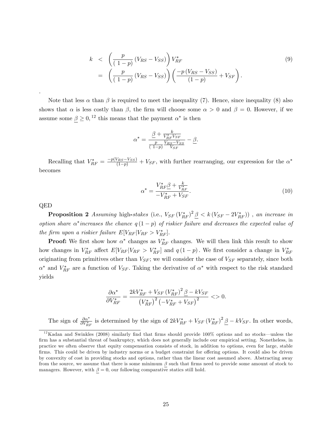$$
k < \left(\frac{p}{(1-p)}(V_{RS} - V_{SS})\right)V_{RF}^*
$$
\n
$$
= \left(\frac{p}{(1-p)}(V_{RS} - V_{SS})\right)\left(\frac{-p(V_{RS} - V_{SS})}{(1-p)} + V_{SF}\right).
$$
\n(9)

Note that less  $\alpha$  than  $\beta$  is required to meet the inequality (7). Hence, since inequality (8) also shows that  $\alpha$  is less costly than  $\beta$ , the firm will choose some  $\alpha > 0$  and  $\beta = 0$ . However, if we assume some  $\underline{\beta} \geq 0$ , <sup>12</sup> this means that the payment  $\alpha^*$  is then

$$
\alpha^* = \frac{\frac{\beta + \frac{k}{V_{RF}^*V_{SF}}}{\frac{p}{(1-p)}\frac{V_{RS} - V_{SS}}{V_{SF}}} - \frac{\beta}{\beta}.
$$

Recalling that  $V_{RF}^* = \frac{-p(V_{RS} - V_{SS})}{(1-p)} + V_{SF}$ , with further rearranging, our expression for the  $\alpha^*$ becomes

$$
\alpha^* = \frac{V_{RF}^* \beta + \frac{k}{V_{RF}^*}}{-V_{RF}^* + V_{SF}}.\tag{10}
$$

QED

:

**Proposition 2** Assuming high-stakes (i.e.,  $V_{SF}(V_{RF}^*)^2 \underline{\beta} < k(V_{SF} - 2V_{RF}^*)$ ), an increase in option share  $\alpha^*$  increases the chance  $q(1-p)$  of riskier failure and decreases the expected value of the firm upon a riskier failure  $E[V_{RF}|V_{RF} > V_{RF}^*].$ 

**Proof:** We first show how  $\alpha^*$  changes as  $V_{RF}^*$  changes. We will then link this result to show how changes in  $V_{RF}^*$  affect  $E[V_{RF}|V_{RF} > V_{RF}^*]$  and  $q(1-p)$ . We first consider a change in  $V_{RF}^*$ originating from primitives other than  $V_{SF}$ ; we will consider the case of  $V_{SF}$  separately, since both  $\alpha^*$  and  $V_{RF}^*$  are a function of  $V_{SF}$ . Taking the derivative of  $\alpha^*$  with respect to the risk standard yields

$$
\frac{\partial \alpha^*}{\partial V_{RF}^*} = \frac{2kV_{RF}^* + V_{SF} (V_{RF}^*)^2 \underline{\beta} - kV_{SF}}{(V_{RF}^*)^2 \left(-V_{RF}^* + V_{SF}\right)^2} < 0.
$$

The sign of  $\frac{\partial \alpha^*}{\partial V_{RF}^*}$  is determined by the sign of  $2kV_{RF}^* + V_{SF}(V_{RF}^*)^2 \underline{\beta} - kV_{SF}$ . In other words,

 $12$ Kadan and Swinkles (2008) similarly find that firms should provide 100% options and no stocks—unless the firm has a substantial threat of bankruptcy, which does not generally include our empirical setting. Nonetheless, in practice we often observe that equity compensation consists of stock, in addition to options, even for large, stable firms. This could be driven by industry norms or a budget constraint for offering options. It could also be driven by convexity of cost in providing stocks and options, rather than the linear cost assumed above. Abstracting away from the source, we assume that there is some minimum  $\beta$  such that firms need to provide some amount of stock to managers. However, with  $\beta = 0$ , our following comparative statics still hold.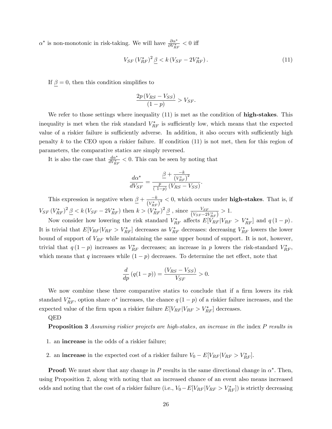$\alpha^*$  is non-monotonic in risk-taking. We will have  $\frac{\partial \alpha^*}{\partial V_{RF}^*} < 0$  iff

$$
V_{SF} (V_{RF}^*)^2 \, \underline{\beta} < k \, (V_{SF} - 2V_{RF}^*) \,. \tag{11}
$$

If  $\beta = 0$ , then this condition simplifies to

$$
\frac{2p\left(V_{RS} - V_{SS}\right)}{\left(1 - p\right)} > V_{SF}.
$$

We refer to those settings where inequality  $(11)$  is met as the condition of **high-stakes**. This inequality is met when the risk standard  $V_{RF}^*$  is sufficiently low, which means that the expected value of a riskier failure is sufficiently adverse. In addition, it also occurs with sufficiently high penalty k to the CEO upon a riskier failure. If condition  $(11)$  is not met, then for this region of parameters, the comparative statics are simply reversed.

It is also the case that  $\frac{d\alpha^*}{dV_{RF}^*} < 0$ . This can be seen by noting that

$$
\frac{d\alpha^*}{dV_{SF}} = \frac{\frac{\beta + \frac{-k}{(V_{RF}^*)^2}}{\frac{p}{(1-p)}(V_{RS} - V_{SS})}.
$$

This expression is negative when  $\beta + \frac{-k}{\sqrt{k}}$  $\frac{-k}{(V_{RF}^*)^2}$  < 0, which occurs under **high-stakes**. That is, if  $V_{SF} (V_{RF}^*)^2 \underline{\beta} < k (V_{SF} - 2V_{RF}^*)$  then  $k > (V_{RF}^*)^2 \underline{\beta}$ , since  $\frac{V_{SF}}{(V_{SF} - 2V_{RF}^*)} > 1$ .

Now consider how lowering the risk standard  $V_{RF}^*$  affects  $E[V_{RF}|V_{RF} > V_{RF}^*]$  and  $q(1-p)$ . It is trivial that  $E[V_{RF}|V_{RF} > V_{RF}^*]$  decreases as  $V_{RF}^*$  decreases: decreasing  $V_{RF}^*$  lowers the lower bound of support of  $V_{RF}$  while maintaining the same upper bound of support. It is not, however, trivial that  $q(1-p)$  increases as  $V_{RF}^*$  decreases; an increase in p lowers the risk-standard  $V_{RF}^*$ , which means that q increases while  $(1 - p)$  decreases. To determine the net effect, note that

$$
\frac{d}{dp}(q(1-p)) = \frac{(V_{RS} - V_{SS})}{V_{SF}} > 0.
$$

We now combine these three comparative statics to conclude that if a firm lowers its risk standard  $V_{RF}^*$ , option share  $\alpha^*$  increases, the chance  $q(1-p)$  of a riskier failure increases, and the expected value of the firm upon a riskier failure  $E[V_{RF}|V_{RF} > V_{RF}^*]$  decreases.

QED

**Proposition 3** Assuming riskier projects are high-stakes, an increase in the index P results in

- 1. an increase in the odds of a riskier failure;
- 2. an **increase** in the expected cost of a riskier failure  $V_0 E[V_{RF}|V_{RF} > V_{RF}^*].$

**Proof:** We must show that any change in P results in the same directional change in  $\alpha^*$ . Then, using Proposition 2, along with noting that an increased chance of an event also means increased odds and noting that the cost of a riskier failure (i.e.,  $V_0 - E[V_{RF} | V_{RF} > V_{RF}^*])$  is strictly decreasing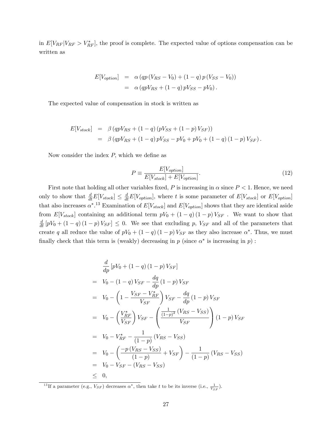in  $E[V_{RF}|V_{RF} > V_{RF}^*]$ , the proof is complete. The expected value of options compensation can be written as

$$
E[V_{option}] = \alpha (qp (V_{RS} - V_0) + (1 - q) p (V_{SS} - V_0))
$$
  
=  $\alpha (qpV_{RS} + (1 - q) pV_{SS} - pV_0).$ 

The expected value of compensation in stock is written as

$$
E[V_{stock}] = \beta (qpV_{RS} + (1 - q) (pV_{SS} + (1 - p)V_{SF}))
$$
  
=  $\beta (qpV_{RS} + (1 - q) pV_{SS} - pV_0 + pV_0 + (1 - q) (1 - p) V_{SF}).$ 

Now consider the index  $P$ , which we define as

$$
P \equiv \frac{E[V_{option}]}{E[V_{stock}] + E[V_{option}]}.
$$
\n(12)

First note that holding all other variables fixed, P is increasing in  $\alpha$  since  $P < 1$ . Hence, we need only to show that  $\frac{d}{dt}E[V_{stock}] \leq \frac{d}{dt}E[V_{option}]$ , where t is some parameter of  $E[V_{stock}]$  or  $E[V_{option}]$ that also increases  $\alpha^{*}$ .<sup>13</sup> Examination of  $E[V_{stock}]$  and  $E[V_{option}]$  shows that they are identical aside from  $E[V_{stock}]$  containing an additional term  $pV_0 + (1 - q)(1 - p)V_{SF}$ . We want to show that  $\frac{d}{dt}[pV_0 + (1-q)(1-p)V_{SF}] \leq 0$ . We see that excluding p,  $V_{SF}$  and all of the parameters that create q all reduce the value of  $pV_0 + (1 - q)(1 - p)V_{SF}$  as they also increase  $\alpha^*$ . Thus, we must finally check that this term is (weakly) decreasing in  $p$  (since  $\alpha^*$  is increasing in  $p$ ):

$$
\frac{d}{dp}[pV_0 + (1-q)(1-p)V_{SF}]
$$
\n
$$
= V_0 - (1-q)V_{SF} - \frac{dq}{dp}(1-p)V_{SF}
$$
\n
$$
= V_0 - \left(1 - \frac{V_{SF} - V_{RF}^*}{V_{SF}}\right)V_{SF} - \frac{dq}{dp}(1-p)V_{SF}
$$
\n
$$
= V_0 - \left(\frac{V_{RF}^*}{V_{SF}}\right)V_{SF} - \left(\frac{\frac{1}{(1-p)^2}(V_{RS} - V_{SS})}{V_{SF}}\right)(1-p)V_{SF}
$$
\n
$$
= V_0 - V_{RF}^* - \frac{1}{(1-p)}(V_{RS} - V_{SS})
$$
\n
$$
= V_0 - \left(\frac{-p(V_{RS} - V_{SS})}{(1-p)} + V_{SF}\right) - \frac{1}{(1-p)}(V_{RS} - V_{SS})
$$
\n
$$
= V_0 - V_{SF} - (V_{RS} - V_{SS})
$$
\n
$$
\leq 0,
$$

<sup>&</sup>lt;sup>13</sup>If a parameter (e.g.,  $V_{SF}$ ) decreases  $\alpha^*$ , then take t to be its inverse (i.e.,  $\frac{1}{V_{SF}}$ ).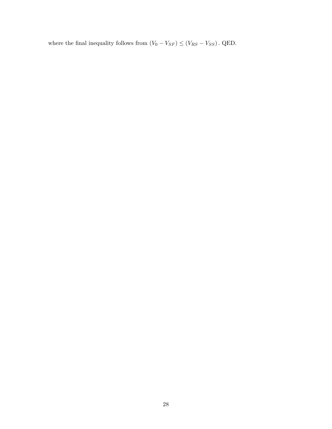where the final inequality follows from  $(V_0 - V_{SF}) \leq (V_{RS} - V_{SS})$  . QED.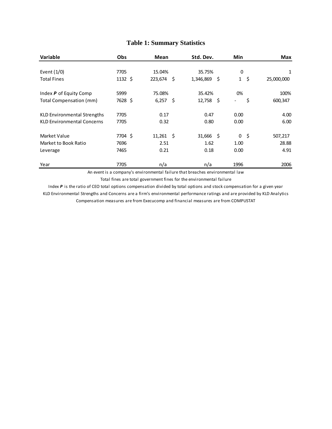| <b>Variable</b>                    | Obs          | Mean           | Std. Dev.        | Min                                | <b>Max</b> |
|------------------------------------|--------------|----------------|------------------|------------------------------------|------------|
| Event $(1/0)$                      | 7705         | 15.04%         | 35.75%           | 0                                  | 1          |
| <b>Total Fines</b>                 | $1132 \;$ \$ | 223,674<br>-\$ | 1,346,869<br>-\$ | $\mathbf{1}$<br>$\zeta$            | 25,000,000 |
| Index P of Equity Comp             | 5999         | 75.08%         | 35.42%           | 0%                                 | 100%       |
| Total Compensation (mm)            | 7628 \$      | 6,257<br>-\$   | $12,758$ \$      | \$<br>$\qquad \qquad \blacksquare$ | 600,347    |
| <b>KLD Environmental Strengths</b> | 7705         | 0.17           | 0.47             | 0.00                               | 4.00       |
| <b>KLD Environmental Concerns</b>  | 7705         | 0.32           | 0.80             | 0.00                               | 6.00       |
| Market Value                       | 7704 \$      | $11,261$ \$    | $31,666$ \$      | $\mathbf{0}$<br>-\$                | 507,217    |
| Market to Book Ratio               | 7696         | 2.51           | 1.62             | 1.00                               | 28.88      |
| Leverage                           | 7465         | 0.21           | 0.18             | 0.00                               | 4.91       |
| Year                               | 7705         | n/a            | n/a              | 1996                               | 2006       |

## **Table 1: Summary Statistics**

An event is a company's environmental failure that breaches environmental law Total fines are total government fines for the environmental failure

Index *P* is the ratio of CEO total options compensation divided by total options and stock compensation for a given year KLD Environmental Strengths and Concerns are a firm's environmental performance ratings and are provided by KLD Analytics Compensation measures are from Execucomp and financial measures are from COMPUSTAT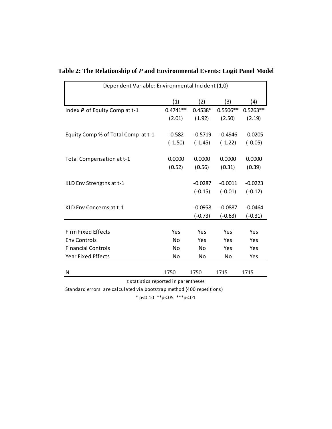| Dependent Variable: Environmental Incident (1,0) |            |           |            |            |  |  |  |
|--------------------------------------------------|------------|-----------|------------|------------|--|--|--|
|                                                  | (1)        | (2)       | (3)        | (4)        |  |  |  |
| Index P of Equity Comp at t-1                    | $0.4741**$ | $0.4538*$ | $0.5506**$ | $0.5263**$ |  |  |  |
|                                                  | (2.01)     | (1.92)    | (2.50)     | (2.19)     |  |  |  |
| Equity Comp % of Total Comp at t-1               | $-0.582$   | $-0.5719$ | $-0.4946$  | $-0.0205$  |  |  |  |
|                                                  | $(-1.50)$  | $(-1.45)$ | $(-1.22)$  | $(-0.05)$  |  |  |  |
| Total Compensation at t-1                        | 0.0000     | 0.0000    | 0.0000     | 0.0000     |  |  |  |
|                                                  | (0.52)     | (0.56)    | (0.31)     | (0.39)     |  |  |  |
| KLD Env Strengths at t-1                         |            | $-0.0287$ | $-0.0011$  | $-0.0223$  |  |  |  |
|                                                  |            | $(-0.15)$ | $(-0.01)$  | $(-0.12)$  |  |  |  |
| KLD Env Concerns at t-1                          |            | $-0.0958$ | $-0.0887$  | $-0.0464$  |  |  |  |
|                                                  |            | $(-0.73)$ | $(-0.63)$  | $(-0.31)$  |  |  |  |
|                                                  |            |           |            |            |  |  |  |
| <b>Firm Fixed Effects</b>                        | Yes        | Yes       | Yes        | Yes        |  |  |  |
| <b>Env Controls</b>                              | <b>No</b>  | Yes       | Yes        | Yes        |  |  |  |
| <b>Financial Controls</b>                        | No         | No        | Yes        | Yes        |  |  |  |
| <b>Year Fixed Effects</b>                        | No         | No        | No         | Yes        |  |  |  |
|                                                  |            |           |            |            |  |  |  |
| N                                                | 1750       | 1750      | 1715       | 1715       |  |  |  |
| z statistics reported in parentheses             |            |           |            |            |  |  |  |

## **Table 2: The Relationship of** *P* **and Environmental Events: Logit Panel Model**

Standard errors are calculated via bootstrap method (400 repetitions)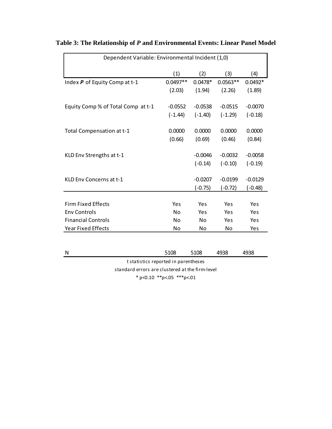| Dependent Variable: Environmental Incident (1,0) |            |           |                |           |  |  |
|--------------------------------------------------|------------|-----------|----------------|-----------|--|--|
|                                                  | (1)        | (2)       | (3)            | (4)       |  |  |
| Index P of Equity Comp at t-1                    | $0.0497**$ | $0.0478*$ | $0.0563**$     | $0.0492*$ |  |  |
|                                                  | (2.03)     | (1.94)    | (2.26)         | (1.89)    |  |  |
| Equity Comp % of Total Comp at t-1               | $-0.0552$  | $-0.0538$ | $-0.0515$      | $-0.0070$ |  |  |
|                                                  | $(-1.44)$  | $(-1.40)$ | $(-1.29)$      | $(-0.18)$ |  |  |
| Total Compensation at t-1                        | 0.0000     | 0.0000    | 0.0000         | 0.0000    |  |  |
|                                                  | (0.66)     | (0.69)    | (0.46)         | (0.84)    |  |  |
| KLD Env Strengths at t-1                         |            | $-0.0046$ | $-0.0032$      | $-0.0058$ |  |  |
|                                                  |            | $(-0.14)$ | $(-0.10)$      | $(-0.19)$ |  |  |
| KLD Env Concerns at t-1                          |            | $-0.0207$ | $-0.0199$      | $-0.0129$ |  |  |
|                                                  |            | $(-0.75)$ | $(-0.72)$      | $(-0.48)$ |  |  |
|                                                  |            |           |                |           |  |  |
| <b>Firm Fixed Effects</b>                        | Yes        | Yes       | Yes            | Yes       |  |  |
| <b>Env Controls</b>                              | No         | Yes       | Yes            | Yes       |  |  |
| <b>Financial Controls</b>                        | No         | No.       | Yes            | Yes       |  |  |
| <b>Year Fixed Effects</b>                        | No         | No        | N <sub>o</sub> | Yes       |  |  |
|                                                  |            |           |                |           |  |  |

# **Table 3: The Relationship of** *P* **and Environmental Events: Linear Panel Model**

standard errors are clustered at the firm-level  $*$  p<0.10  $*$  $*$ p<.05  $*$  $*$  $*$ p<.01 t statistics reported in parentheses

N 5108 5108 4938 4938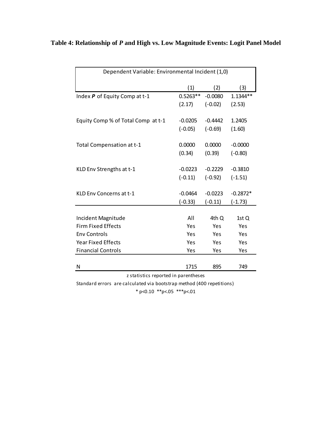| Dependent Variable: Environmental Incident (1,0) |            |           |            |  |  |  |
|--------------------------------------------------|------------|-----------|------------|--|--|--|
|                                                  | (1)        | (2)       | (3)        |  |  |  |
| Index P of Equity Comp at t-1                    | $0.5263**$ | $-0.0080$ | $1.1344**$ |  |  |  |
|                                                  | (2.17)     | $(-0.02)$ | (2.53)     |  |  |  |
| Equity Comp % of Total Comp at t-1               | $-0.0205$  | $-0.4442$ | 1.2405     |  |  |  |
|                                                  | $(-0.05)$  | $(-0.69)$ | (1.60)     |  |  |  |
| Total Compensation at t-1                        | 0.0000     | 0.0000    | $-0.0000$  |  |  |  |
|                                                  | (0.34)     | (0.39)    | $(-0.80)$  |  |  |  |
| KLD Env Strengths at t-1                         | $-0.0223$  | $-0.2229$ | $-0.3810$  |  |  |  |
|                                                  | $(-0.11)$  | $(-0.92)$ | $(-1.51)$  |  |  |  |
| KLD Env Concerns at t-1                          | $-0.0464$  | $-0.0223$ | $-0.2872*$ |  |  |  |
|                                                  | $(-0.33)$  | $(-0.11)$ | $(-1.73)$  |  |  |  |
| Incident Magnitude                               | All        | 4th Q     | 1st Q      |  |  |  |
| <b>Firm Fixed Effects</b>                        | Yes        | Yes       | Yes        |  |  |  |
| <b>Env Controls</b>                              | Yes        | Yes       | Yes        |  |  |  |
| <b>Year Fixed Effects</b>                        | Yes        | Yes       | Yes        |  |  |  |
| <b>Financial Controls</b>                        | Yes        | Yes       | Yes        |  |  |  |
|                                                  |            |           |            |  |  |  |
| N                                                | 1715       | 895       | 749        |  |  |  |

# **Table 4: Relationship of** *P* **and High vs. Low Magnitude Events: Logit Panel Model**

z statistics reported in parentheses

Standard errors are calculated via bootstrap method (400 repetitions)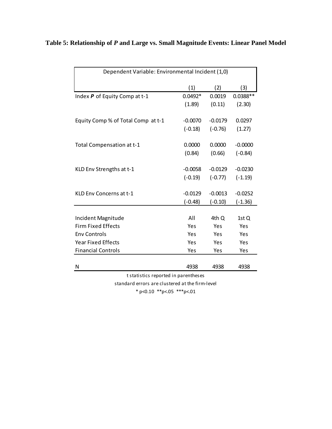| Table 5: Relationship of P and Large vs. Small Magnitude Events: Linear Panel Model |  |  |  |
|-------------------------------------------------------------------------------------|--|--|--|
|-------------------------------------------------------------------------------------|--|--|--|

| Dependent Variable: Environmental Incident (1,0) |           |           |            |  |  |  |
|--------------------------------------------------|-----------|-----------|------------|--|--|--|
|                                                  | (1)       | (2)       | (3)        |  |  |  |
| Index P of Equity Comp at t-1                    | $0.0492*$ | 0.0019    | $0.0388**$ |  |  |  |
|                                                  | (1.89)    | (0.11)    | (2.30)     |  |  |  |
| Equity Comp % of Total Comp at t-1               | $-0.0070$ | $-0.0179$ | 0.0297     |  |  |  |
|                                                  | $(-0.18)$ | $(-0.76)$ | (1.27)     |  |  |  |
| Total Compensation at t-1                        | 0.0000    | 0.0000    | $-0.0000$  |  |  |  |
|                                                  | (0.84)    | (0.66)    | $(-0.84)$  |  |  |  |
| KLD Env Strengths at t-1                         | $-0.0058$ | $-0.0129$ | $-0.0230$  |  |  |  |
|                                                  | $(-0.19)$ | $(-0.77)$ | $(-1.19)$  |  |  |  |
| KLD Env Concerns at t-1                          | $-0.0129$ | $-0.0013$ | $-0.0252$  |  |  |  |
|                                                  | $(-0.48)$ | $(-0.10)$ | $(-1.36)$  |  |  |  |
| Incident Magnitude                               | All       | 4th Q     | 1st Q      |  |  |  |
| <b>Firm Fixed Effects</b>                        | Yes       | Yes       | Yes        |  |  |  |
| <b>Env Controls</b>                              | Yes       | Yes       | Yes        |  |  |  |
| <b>Year Fixed Effects</b>                        | Yes       | Yes       | Yes        |  |  |  |
| <b>Financial Controls</b>                        | Yes       | Yes       | Yes        |  |  |  |
| N                                                | 4938      | 4938      | 4938       |  |  |  |
| t statistics reported in parentheses             |           |           |            |  |  |  |

standard errors are clustered at the firm-level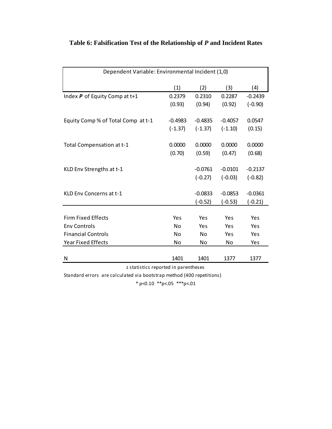| Dependent Variable: Environmental Incident (1,0) |           |           |           |           |  |  |
|--------------------------------------------------|-----------|-----------|-----------|-----------|--|--|
|                                                  | (1)       | (2)       | (3)       | (4)       |  |  |
| Index P of Equity Comp at t+1                    | 0.2379    | 0.2310    | 0.2287    | $-0.2439$ |  |  |
|                                                  | (0.93)    | (0.94)    | (0.92)    | $(-0.90)$ |  |  |
| Equity Comp % of Total Comp at t-1               | $-0.4983$ | $-0.4835$ | $-0.4057$ | 0.0547    |  |  |
|                                                  | $(-1.37)$ | $(-1.37)$ | $(-1.10)$ | (0.15)    |  |  |
| Total Compensation at t-1                        | 0.0000    | 0.0000    | 0.0000    | 0.0000    |  |  |
|                                                  | (0.70)    | (0.59)    | (0.47)    | (0.68)    |  |  |
| KLD Env Strengths at t-1                         |           | $-0.0761$ | $-0.0101$ | $-0.2137$ |  |  |
|                                                  |           | $(-0.27)$ | $(-0.03)$ | $(-0.82)$ |  |  |
| KLD Env Concerns at t-1                          |           | $-0.0833$ | $-0.0853$ | $-0.0361$ |  |  |
|                                                  |           | $(-0.52)$ | $(-0.53)$ | $(-0.21)$ |  |  |
| <b>Firm Fixed Effects</b>                        | Yes       | Yes       | Yes       | Yes       |  |  |
| <b>Env Controls</b>                              | No        | Yes       | Yes       | Yes       |  |  |
| <b>Financial Controls</b>                        | No        | <b>No</b> | Yes       | Yes       |  |  |
| <b>Year Fixed Effects</b>                        | No        | No        | No        | Yes       |  |  |
|                                                  |           |           |           |           |  |  |
| N                                                | 1401      | 1401      | 1377      | 1377      |  |  |
| z statistics reported in parentheses             |           |           |           |           |  |  |

# **Table 6: Falsification Test of the Relationship of** *P* **and Incident Rates**

z statistics reported in parentheses

Standard errors are calculated via bootstrap method (400 repetitions)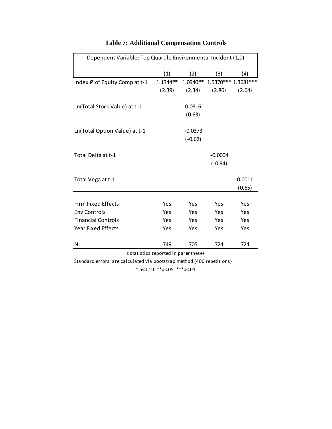| Dependent Variable: Top Quartile Environmental Incident (1,0) |            |           |                              |                  |  |  |  |
|---------------------------------------------------------------|------------|-----------|------------------------------|------------------|--|--|--|
|                                                               | (1)        | (2)       | (3)                          | (4)              |  |  |  |
| Index $P$ of Equity Comp at t-1                               | $1.1344**$ |           | 1.0940** 1.5370*** 1.3681*** |                  |  |  |  |
|                                                               | (2.39)     | (2.34)    | (2.86)                       | (2.64)           |  |  |  |
| Ln(Total Stock Value) at t-1                                  |            | 0.0816    |                              |                  |  |  |  |
|                                                               |            | (0.63)    |                              |                  |  |  |  |
| Ln(Total Option Value) at t-1                                 |            | $-0.0373$ |                              |                  |  |  |  |
|                                                               |            | $(-0.62)$ |                              |                  |  |  |  |
| Total Delta at t-1                                            |            |           | $-0.0004$                    |                  |  |  |  |
|                                                               |            |           | $(-0.94)$                    |                  |  |  |  |
| Total Vega at t-1                                             |            |           |                              | 0.0011<br>(0.65) |  |  |  |
|                                                               |            |           |                              |                  |  |  |  |
| <b>Firm Fixed Effects</b>                                     | Yes        | Yes       | Yes                          | Yes              |  |  |  |
| <b>Env Controls</b>                                           | Yes        | Yes       | Yes                          | Yes              |  |  |  |
| <b>Financial Controls</b>                                     | Yes        | Yes       | Yes                          | Yes              |  |  |  |
| <b>Year Fixed Effects</b>                                     | Yes        | Yes       | Yes                          | Yes              |  |  |  |
| N                                                             | 749        | 705       | 724                          | 724              |  |  |  |
| z statistics reported in parentheses                          |            |           |                              |                  |  |  |  |

# **Table 7: Additional Compensation Controls**

Standard errors are calculated via bootstrap method (400 repetitions)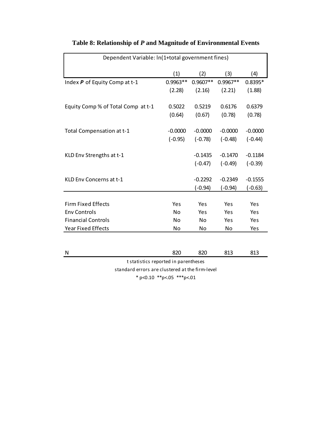| Dependent Variable: In(1+total government fines) |                |                |            |           |  |  |
|--------------------------------------------------|----------------|----------------|------------|-----------|--|--|
|                                                  | (1)            | (2)            | (3)        | (4)       |  |  |
| Index P of Equity Comp at t-1                    | $0.9963**$     | $0.9607**$     | $0.9967**$ | $0.8395*$ |  |  |
|                                                  | (2.28)         | (2.16)         | (2.21)     | (1.88)    |  |  |
| Equity Comp % of Total Comp at t-1               | 0.5022         | 0.5219         | 0.6176     | 0.6379    |  |  |
|                                                  | (0.64)         | (0.67)         | (0.78)     | (0.78)    |  |  |
| Total Compensation at t-1                        | $-0.0000$      | $-0.0000$      | $-0.0000$  | $-0.0000$ |  |  |
|                                                  | $(-0.95)$      | $(-0.78)$      | $(-0.48)$  | $(-0.44)$ |  |  |
| KLD Env Strengths at t-1                         |                | $-0.1435$      | $-0.1470$  | $-0.1184$ |  |  |
|                                                  |                | $(-0.47)$      | $(-0.49)$  | $(-0.39)$ |  |  |
| KLD Env Concerns at t-1                          |                | $-0.2292$      | $-0.2349$  | $-0.1555$ |  |  |
|                                                  |                | $(-0.94)$      | $(-0.94)$  | $(-0.63)$ |  |  |
|                                                  |                |                |            |           |  |  |
| <b>Firm Fixed Effects</b>                        | Yes            | Yes            | Yes        | Yes       |  |  |
| <b>Env Controls</b>                              | N <sub>0</sub> | Yes            | Yes        | Yes       |  |  |
| <b>Financial Controls</b>                        | <b>No</b>      | N <sub>0</sub> | Yes        | Yes       |  |  |
| <b>Year Fixed Effects</b>                        | No             | No             | No         | Yes       |  |  |
|                                                  |                |                |            |           |  |  |
| N                                                | 820            | 820            | 813        | 813       |  |  |

# **Table 8: Relationship of** *P* **and Magnitude of Environmental Events**

standard errors are clustered at the firm-level t statistics reported in parentheses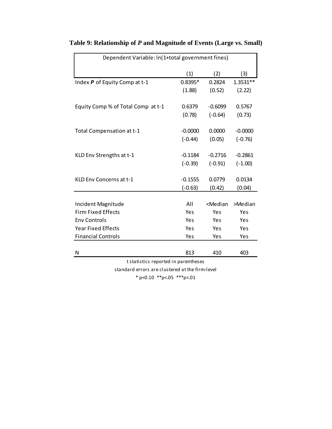| Dependent Variable: In(1+total government fines) |           |                                              |           |  |  |  |
|--------------------------------------------------|-----------|----------------------------------------------|-----------|--|--|--|
|                                                  | (1)       | (2)                                          | (3)       |  |  |  |
| Index P of Equity Comp at t-1                    | $0.8395*$ | 0.2824                                       | 1.3531**  |  |  |  |
|                                                  | (1.88)    | (0.52)                                       | (2.22)    |  |  |  |
| Equity Comp % of Total Comp at t-1               | 0.6379    | $-0.6099$                                    | 0.5767    |  |  |  |
|                                                  | (0.78)    | $(-0.64)$                                    | (0.73)    |  |  |  |
| Total Compensation at t-1                        | $-0.0000$ | 0.0000                                       | $-0.0000$ |  |  |  |
|                                                  | $(-0.44)$ | (0.05)                                       | $(-0.76)$ |  |  |  |
| KLD Env Strengths at t-1                         | $-0.1184$ | $-0.2716$                                    | $-0.2861$ |  |  |  |
|                                                  | $(-0.39)$ | $(-0.91)$                                    | $(-1.00)$ |  |  |  |
| KLD Env Concerns at t-1                          | $-0.1555$ | 0.0779                                       | 0.0134    |  |  |  |
|                                                  | $(-0.63)$ | (0.42)                                       | (0.04)    |  |  |  |
|                                                  |           |                                              |           |  |  |  |
| Incident Magnitude                               | All       | <median< td=""><td>&gt;Median</td></median<> | >Median   |  |  |  |
| <b>Firm Fixed Effects</b>                        | Yes       | Yes                                          | Yes       |  |  |  |
| <b>Env Controls</b>                              | Yes       | Yes                                          | Yes       |  |  |  |
| <b>Year Fixed Effects</b>                        | Yes       | Yes                                          | Yes       |  |  |  |
| <b>Financial Controls</b>                        | Yes       | Yes                                          | Yes       |  |  |  |
|                                                  |           |                                              |           |  |  |  |
| Ν                                                | 813       | 410                                          | 403       |  |  |  |
| t statistics reported in parentheses             |           |                                              |           |  |  |  |

# **Table 9: Relationship of** *P* **and Magnitude of Events (Large vs. Small)**

standard errors are clustered at the firm-level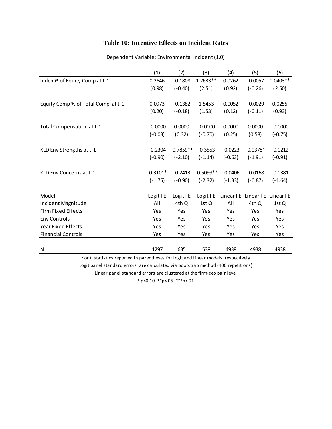| Dependent Variable: Environmental Incident (1,0) |            |             |             |           |                               |            |
|--------------------------------------------------|------------|-------------|-------------|-----------|-------------------------------|------------|
|                                                  | (1)        | (2)         | (3)         | (4)       | (5)                           | (6)        |
| Index P of Equity Comp at t-1                    | 0.2646     | $-0.1808$   | $1.2633**$  | 0.0262    | $-0.0057$                     | $0.0403**$ |
|                                                  | (0.98)     | $(-0.40)$   | (2.51)      | (0.92)    | $(-0.26)$                     | (2.50)     |
| Equity Comp % of Total Comp at t-1               | 0.0973     | $-0.1382$   | 1.5453      | 0.0052    | $-0.0029$                     | 0.0255     |
|                                                  | (0.20)     | $(-0.18)$   | (1.53)      | (0.12)    | $(-0.11)$                     | (0.93)     |
| Total Compensation at t-1                        | $-0.0000$  | 0.0000      | $-0.0000$   | 0.0000    | 0.0000                        | $-0.0000$  |
|                                                  | $(-0.03)$  | (0.32)      | $(-0.70)$   | (0.25)    | (0.58)                        | $(-0.75)$  |
| KLD Env Strengths at t-1                         | $-0.2304$  | $-0.7859**$ | $-0.3553$   | $-0.0223$ | $-0.0378*$                    | $-0.0212$  |
|                                                  | $(-0.90)$  | $(-2.10)$   | $(-1.14)$   | $(-0.63)$ | $(-1.91)$                     | $(-0.91)$  |
| KLD Env Concerns at t-1                          | $-0.3101*$ | $-0.2413$   | $-0.5099**$ | $-0.0406$ | $-0.0168$                     | $-0.0381$  |
|                                                  | $(-1.75)$  | $(-0.90)$   | $(-2.32)$   | $(-1.33)$ | $(-0.87)$                     | $(-1.64)$  |
| Model                                            | Logit FE   | Logit FE    | Logit FE    |           | Linear FE Linear FE Linear FE |            |
| Incident Magnitude                               | All        | 4th Q       | 1st Q       | All       | 4th Q                         | 1st Q      |
| <b>Firm Fixed Effects</b>                        | Yes        | Yes         | Yes         | Yes       | Yes                           | Yes        |
| <b>Env Controls</b>                              | Yes        | Yes         | Yes         | Yes       | Yes                           | Yes        |
| <b>Year Fixed Effects</b>                        | Yes        | Yes         | Yes         | Yes       | Yes                           | Yes        |
| <b>Financial Controls</b>                        | Yes        | Yes         | Yes         | Yes       | Yes                           | Yes        |
|                                                  |            |             |             |           |                               |            |
| N                                                | 1297       | 635         | 538         | 4938      | 4938                          | 4938       |

## **Table 10: Incentive Effects on Incident Rates**

z or t statistics reported in parentheses for logit and linear models, respectively

Logit panel standard errors are calculated via bootstrap method (400 repetitions)

Linear panel standard errors are clustered at the firm-ceo pair level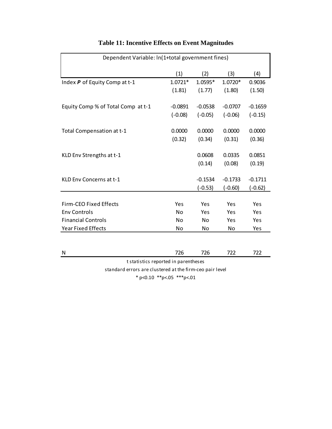| Dependent Variable: In(1+total government fines) |           |           |           |           |
|--------------------------------------------------|-----------|-----------|-----------|-----------|
|                                                  | (1)       | (2)       | (3)       | (4)       |
| Index P of Equity Comp at t-1                    | $1.0721*$ | 1.0595*   | 1.0720*   | 0.9036    |
|                                                  | (1.81)    | (1.77)    | (1.80)    | (1.50)    |
| Equity Comp % of Total Comp at t-1               | $-0.0891$ | $-0.0538$ | $-0.0707$ | $-0.1659$ |
|                                                  | $(-0.08)$ | $(-0.05)$ | $(-0.06)$ | $(-0.15)$ |
| Total Compensation at t-1                        | 0.0000    | 0.0000    | 0.0000    | 0.0000    |
|                                                  | (0.32)    | (0.34)    | (0.31)    | (0.36)    |
| KLD Env Strengths at t-1                         |           | 0.0608    | 0.0335    | 0.0851    |
|                                                  |           | (0.14)    | (0.08)    | (0.19)    |
| KLD Env Concerns at t-1                          |           | $-0.1534$ | $-0.1733$ | $-0.1711$ |
|                                                  |           | $(-0.53)$ | $(-0.60)$ | $(-0.62)$ |
| <b>Firm-CEO Fixed Effects</b>                    | Yes       | Yes       | Yes       | Yes       |
| <b>Env Controls</b>                              | No        | Yes       | Yes       | Yes       |
| <b>Financial Controls</b>                        | No        | No        | Yes       | Yes       |
|                                                  |           |           |           |           |
| <b>Year Fixed Effects</b>                        | No        | No        | No        | Yes       |
| N                                                | 726       | 726       | 722       | 722       |
| t statistics reported in parentheses             |           |           |           |           |

# **Table 11: Incentive Effects on Event Magnitudes**

standard errors are clustered at the firm-ceo pair level  $*$  p<0.10  $*$  $*$ p<.05  $*$  $*$  $*$ p<.01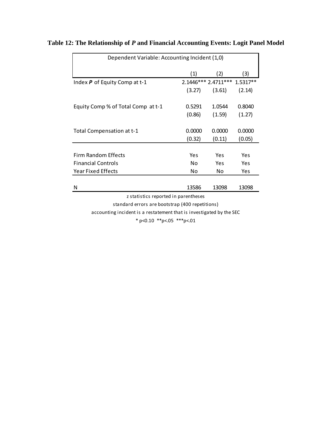| Dependent Variable: Accounting Incident (1,0)   |        |                              |        |  |  |
|-------------------------------------------------|--------|------------------------------|--------|--|--|
|                                                 | (1)    | (2)                          | (3)    |  |  |
| Index $P$ of Equity Comp at t-1                 |        | 2.1446*** 2.4711*** 1.5317** |        |  |  |
|                                                 | (3.27) | (3.61)                       | (2.14) |  |  |
| Equity Comp % of Total Comp at t-1              | 0.5291 | 1.0544                       | 0.8040 |  |  |
|                                                 | (0.86) | (1.59)                       | (1.27) |  |  |
| Total Compensation at t-1                       | 0.0000 | 0.0000                       | 0.0000 |  |  |
|                                                 | (0.32) | (0.11)                       | (0.05) |  |  |
|                                                 |        |                              |        |  |  |
| Firm Random Effects                             | Yes    | Yes                          | Yes    |  |  |
| <b>Financial Controls</b>                       | No     | Yes                          | Yes    |  |  |
| Year Fixed Effects                              | No     | No.                          | Yes    |  |  |
|                                                 |        |                              |        |  |  |
| N                                               | 13586  | 13098                        | 13098  |  |  |
| z statistics reported in parentheses            |        |                              |        |  |  |
| standard errors are bootstrap (400 repetitions) |        |                              |        |  |  |

# **Table 12: The Relationship of** *P* **and Financial Accounting Events: Logit Panel Model**

standard errors are bootstrap (400 repetitions)

accounting incident is a restatement that is investigated by the SEC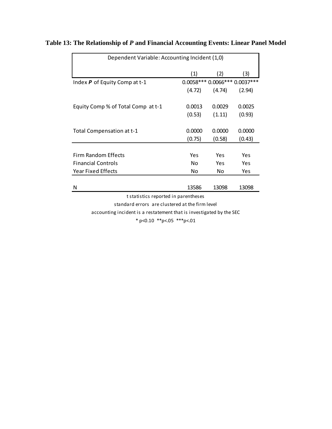| Dependent Variable: Accounting Incident (1,0) |        |                                  |        |  |  |
|-----------------------------------------------|--------|----------------------------------|--------|--|--|
|                                               | (1)    | (2)                              | (3)    |  |  |
| Index $P$ of Equity Comp at t-1               |        | 0.0058 *** 0.0066 *** 0.0037 *** |        |  |  |
|                                               | (4.72) | (4.74)                           | (2.94) |  |  |
| Equity Comp % of Total Comp at t-1            | 0.0013 | 0.0029                           | 0.0025 |  |  |
|                                               | (0.53) | (1.11)                           | (0.93) |  |  |
| Total Compensation at t-1                     | 0.0000 | 0.0000                           | 0.0000 |  |  |
|                                               | (0.75) | (0.58)                           | (0.43) |  |  |
| <b>Firm Random Effects</b>                    | Yes    | Yes                              | Yes    |  |  |
| <b>Financial Controls</b>                     | No     | Yes                              | Yes    |  |  |
| <b>Year Fixed Effects</b>                     | No     | No.                              | Yes    |  |  |
| N                                             | 13586  | 13098                            | 13098  |  |  |
| t statistics reported in parentheses          |        |                                  |        |  |  |
|                                               |        |                                  |        |  |  |

# **Table 13: The Relationship of** *P* **and Financial Accounting Events: Linear Panel Model**

standard errors are clustered at the firm level

accounting incident is a restatement that is investigated by the SEC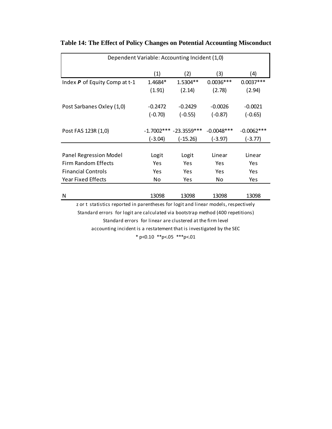| Dependent Variable: Accounting Incident (1,0) |              |               |                        |              |  |
|-----------------------------------------------|--------------|---------------|------------------------|--------------|--|
|                                               | (1)          | (2)           | (3)                    | (4)          |  |
| Index P of Equity Comp at t-1                 | 1.4684*      | 1.5304**      | $0.0036***$            | $0.0037***$  |  |
|                                               | (1.91)       | (2.14)        | (2.78)                 | (2.94)       |  |
|                                               |              |               |                        |              |  |
| Post Sarbanes Oxley (1,0)                     | $-0.2472$    | $-0.2429$     | $-0.0026$<br>$-0.0021$ |              |  |
|                                               | $(-0.70)$    | $(-0.55)$     | $(-0.87)$              | $(-0.65)$    |  |
|                                               |              |               |                        |              |  |
| Post FAS 123R (1,0)                           | $-1.7002***$ | $-23.3559***$ | $-0.0048$ ***          | $-0.0062***$ |  |
|                                               | (-3.04)      | (-15.26)      | (-3.97)                | (-3.77)      |  |
|                                               |              |               |                        |              |  |
| <b>Panel Regression Model</b>                 | Logit        | Logit         | Linear                 | Linear       |  |
| Firm Random Effects                           | Yes          | Yes           | Yes                    | Yes          |  |
| <b>Financial Controls</b>                     | Yes          | Yes           | Yes                    | <b>Yes</b>   |  |
| <b>Year Fixed Effects</b>                     | No           | Yes           | No                     | Yes          |  |
|                                               |              |               |                        |              |  |
| N                                             | 13098        | 13098         | 13098                  | 13098        |  |
|                                               |              |               |                        |              |  |

## **Table 14: The Effect of Policy Changes on Potential Accounting Misconduct**

z or t statistics reported in parentheses for logit and linear models, respectively Standard errors for logit are calculated via bootstrap method (400 repetitions) Standard errors for linear are clustered at the firm level

accounting incident is a restatement that is investigated by the SEC